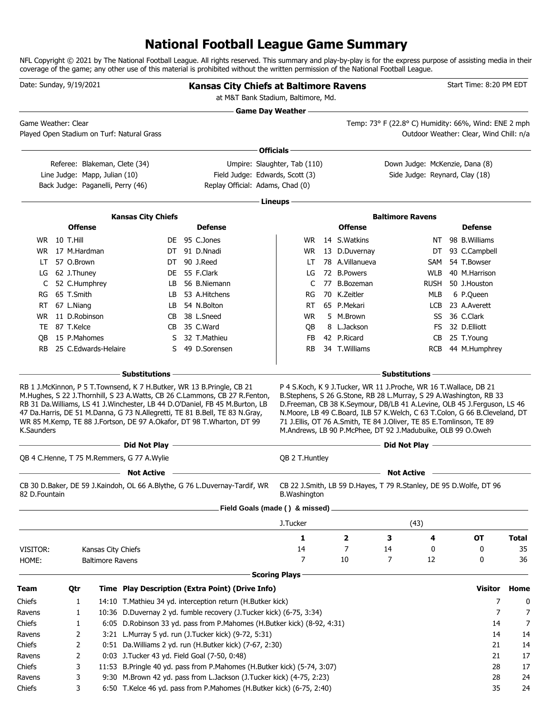# **National Football League Game Summary**

NFL Copyright © 2021 by The National Football League. All rights reserved. This summary and play-by-play is for the express purpose of assisting media in their coverage of the game; any other use of this material is prohibited without the written permission of the National Football League.

|               | Date: Sunday, 9/19/2021                                                                             |                         |                                              | <b>Kansas City Chiefs at Baltimore Ravens</b><br>at M&T Bank Stadium, Baltimore, Md.                                                                                                                                                                                                                                  |                            |                                                                                                                                                                                                                                                                                                                                                                   |    |                                                                  | Start Time: 8:20 PM EDT                                                                         |              |
|---------------|-----------------------------------------------------------------------------------------------------|-------------------------|----------------------------------------------|-----------------------------------------------------------------------------------------------------------------------------------------------------------------------------------------------------------------------------------------------------------------------------------------------------------------------|----------------------------|-------------------------------------------------------------------------------------------------------------------------------------------------------------------------------------------------------------------------------------------------------------------------------------------------------------------------------------------------------------------|----|------------------------------------------------------------------|-------------------------------------------------------------------------------------------------|--------------|
|               | Game Weather: Clear                                                                                 |                         | Played Open Stadium on Turf: Natural Grass   |                                                                                                                                                                                                                                                                                                                       | <b>Game Day Weather --</b> |                                                                                                                                                                                                                                                                                                                                                                   |    |                                                                  | Temp: 73° F (22.8° C) Humidity: 66%, Wind: ENE 2 mph<br>Outdoor Weather: Clear, Wind Chill: n/a |              |
|               |                                                                                                     |                         |                                              |                                                                                                                                                                                                                                                                                                                       |                            |                                                                                                                                                                                                                                                                                                                                                                   |    |                                                                  |                                                                                                 |              |
|               |                                                                                                     |                         |                                              |                                                                                                                                                                                                                                                                                                                       | Officials -                |                                                                                                                                                                                                                                                                                                                                                                   |    |                                                                  |                                                                                                 |              |
|               | Referee: Blakeman, Clete (34)<br>Line Judge: Mapp, Julian (10)<br>Back Judge: Paganelli, Perry (46) |                         |                                              | Umpire: Slaughter, Tab (110)<br>Field Judge: Edwards, Scott (3)<br>Replay Official: Adams, Chad (0)                                                                                                                                                                                                                   |                            |                                                                                                                                                                                                                                                                                                                                                                   |    | Down Judge: McKenzie, Dana (8)<br>Side Judge: Reynard, Clay (18) |                                                                                                 |              |
|               |                                                                                                     |                         |                                              |                                                                                                                                                                                                                                                                                                                       |                            |                                                                                                                                                                                                                                                                                                                                                                   |    |                                                                  |                                                                                                 |              |
|               |                                                                                                     |                         |                                              |                                                                                                                                                                                                                                                                                                                       | Lineups -                  |                                                                                                                                                                                                                                                                                                                                                                   |    |                                                                  |                                                                                                 |              |
|               |                                                                                                     |                         | <b>Kansas City Chiefs</b>                    |                                                                                                                                                                                                                                                                                                                       |                            |                                                                                                                                                                                                                                                                                                                                                                   |    | <b>Baltimore Ravens</b>                                          |                                                                                                 |              |
|               | <b>Offense</b>                                                                                      |                         |                                              | <b>Defense</b>                                                                                                                                                                                                                                                                                                        |                            | <b>Offense</b>                                                                                                                                                                                                                                                                                                                                                    |    |                                                                  | <b>Defense</b>                                                                                  |              |
|               | <b>WR</b> 10 T.Hill                                                                                 |                         |                                              | DE 95 C.Jones                                                                                                                                                                                                                                                                                                         | WR.                        | 14 S. Watkins                                                                                                                                                                                                                                                                                                                                                     |    | NΤ                                                               | 98 B. Williams                                                                                  |              |
|               | WR 17 M.Hardman                                                                                     |                         |                                              | DT 91 D.Nnadi                                                                                                                                                                                                                                                                                                         | WR.                        | 13 D.Duvernay                                                                                                                                                                                                                                                                                                                                                     |    | DT                                                               | 93 C.Campbell                                                                                   |              |
| LT            | 57 O.Brown                                                                                          |                         | DT                                           | 90 J.Reed                                                                                                                                                                                                                                                                                                             | LT                         | 78 A.Villanueva                                                                                                                                                                                                                                                                                                                                                   |    | <b>SAM</b>                                                       | 54 T.Bowser                                                                                     |              |
| LG            | 62 J.Thuney                                                                                         |                         | DE.                                          | 55 F.Clark                                                                                                                                                                                                                                                                                                            | LG                         | 72 B.Powers                                                                                                                                                                                                                                                                                                                                                       |    | <b>WLB</b>                                                       | 40 M.Harrison                                                                                   |              |
| C             | 52 C.Humphrey                                                                                       |                         | LB.                                          | 56 B.Niemann                                                                                                                                                                                                                                                                                                          | C                          | 77 B.Bozeman                                                                                                                                                                                                                                                                                                                                                      |    | <b>RUSH</b>                                                      | 50 J.Houston                                                                                    |              |
| RG            | 65 T.Smith                                                                                          |                         | LB.                                          | 53 A.Hitchens                                                                                                                                                                                                                                                                                                         | RG                         | 70 K.Zeitler                                                                                                                                                                                                                                                                                                                                                      |    | MLB                                                              | 6 P.Queen<br>23 A.Averett                                                                       |              |
| RT.           | 67 L.Niang<br>11 D.Robinson                                                                         |                         | LB.                                          | 54 N.Bolton<br>38 L.Sneed                                                                                                                                                                                                                                                                                             | RT.                        | 65 P.Mekari<br>5 M.Brown                                                                                                                                                                                                                                                                                                                                          |    | LCB                                                              | 36 C.Clark                                                                                      |              |
| WR.           | 87 T.Kelce                                                                                          |                         | CB.                                          | CB 35 C.Ward                                                                                                                                                                                                                                                                                                          | <b>WR</b>                  | 8 L.Jackson                                                                                                                                                                                                                                                                                                                                                       |    | SS                                                               | 32 D.Elliott                                                                                    |              |
| TE.<br>OВ     | 15 P.Mahomes                                                                                        |                         | S.                                           | 32 T.Mathieu                                                                                                                                                                                                                                                                                                          | QB<br>FB                   | 42 P.Ricard                                                                                                                                                                                                                                                                                                                                                       |    | FS<br>CВ                                                         | 25 T.Young                                                                                      |              |
| RB.           | 25 C.Edwards-Helaire                                                                                |                         | S                                            | 49 D.Sorensen                                                                                                                                                                                                                                                                                                         | <b>RB</b>                  | 34 T.Williams                                                                                                                                                                                                                                                                                                                                                     |    | <b>RCB</b>                                                       | 44 M.Humphrey                                                                                   |              |
|               |                                                                                                     |                         | <b>Substitutions</b>                         |                                                                                                                                                                                                                                                                                                                       |                            |                                                                                                                                                                                                                                                                                                                                                                   |    | <b>Substitutions</b>                                             |                                                                                                 |              |
| K.Saunders    |                                                                                                     |                         |                                              | M.Hughes, S 22 J.Thornhill, S 23 A.Watts, CB 26 C.Lammons, CB 27 R.Fenton,<br>RB 31 Da. Williams, LS 41 J. Winchester, LB 44 D. O'Daniel, FB 45 M. Burton, LB<br>47 Da.Harris, DE 51 M.Danna, G 73 N.Allegretti, TE 81 B.Bell, TE 83 N.Gray,<br>WR 85 M.Kemp, TE 88 J.Fortson, DE 97 A.Okafor, DT 98 T.Wharton, DT 99 |                            | B.Stephens, S 26 G.Stone, RB 28 L.Murray, S 29 A.Washington, RB 33<br>D.Freeman, CB 38 K.Seymour, DB/LB 41 A.Levine, OLB 45 J.Ferguson, LS 46<br>N.Moore, LB 49 C.Board, ILB 57 K.Welch, C 63 T.Colon, G 66 B.Cleveland, DT<br>71 J.Ellis, OT 76 A.Smith, TE 84 J.Oliver, TE 85 E.Tomlinson, TE 89<br>M.Andrews, LB 90 P.McPhee, DT 92 J.Madubuike, OLB 99 O.Oweh |    |                                                                  |                                                                                                 |              |
|               |                                                                                                     |                         |                                              |                                                                                                                                                                                                                                                                                                                       |                            |                                                                                                                                                                                                                                                                                                                                                                   |    | Did Not Play —                                                   |                                                                                                 |              |
|               |                                                                                                     |                         | QB 4 C.Henne, T 75 M.Remmers, G 77 A.Wylie   |                                                                                                                                                                                                                                                                                                                       | QB 2 T.Huntley             |                                                                                                                                                                                                                                                                                                                                                                   |    |                                                                  |                                                                                                 |              |
|               |                                                                                                     |                         | <b>Not Active</b>                            |                                                                                                                                                                                                                                                                                                                       |                            |                                                                                                                                                                                                                                                                                                                                                                   |    | <b>Not Active</b>                                                |                                                                                                 |              |
| 82 D.Fountain |                                                                                                     |                         |                                              | CB 30 D.Baker, DE 59 J.Kaindoh, OL 66 A.Blythe, G 76 L.Duvernay-Tardif, WR                                                                                                                                                                                                                                            | <b>B.</b> Washington       | CB 22 J.Smith, LB 59 D.Hayes, T 79 R.Stanley, DE 95 D.Wolfe, DT 96                                                                                                                                                                                                                                                                                                |    |                                                                  |                                                                                                 |              |
|               |                                                                                                     |                         |                                              | Field Goals (made () & missed)                                                                                                                                                                                                                                                                                        |                            |                                                                                                                                                                                                                                                                                                                                                                   |    |                                                                  |                                                                                                 |              |
|               |                                                                                                     |                         |                                              |                                                                                                                                                                                                                                                                                                                       | J.Tucker                   |                                                                                                                                                                                                                                                                                                                                                                   |    | (43)                                                             |                                                                                                 |              |
|               |                                                                                                     |                         |                                              |                                                                                                                                                                                                                                                                                                                       | 1                          | 2                                                                                                                                                                                                                                                                                                                                                                 | 3  | 4                                                                | OT                                                                                              | <b>Total</b> |
| VISITOR:      |                                                                                                     | Kansas City Chiefs      |                                              |                                                                                                                                                                                                                                                                                                                       | 14                         | 7                                                                                                                                                                                                                                                                                                                                                                 | 14 | 0                                                                | 0                                                                                               | 35           |
| HOME:         |                                                                                                     | <b>Baltimore Ravens</b> |                                              |                                                                                                                                                                                                                                                                                                                       | 7                          | 10                                                                                                                                                                                                                                                                                                                                                                | 7  | 12                                                               | 0                                                                                               | 36           |
|               |                                                                                                     |                         |                                              |                                                                                                                                                                                                                                                                                                                       | <b>Scoring Plays</b>       |                                                                                                                                                                                                                                                                                                                                                                   |    |                                                                  |                                                                                                 |              |
| <b>Team</b>   | Qtr                                                                                                 |                         |                                              | Time Play Description (Extra Point) (Drive Info)                                                                                                                                                                                                                                                                      |                            |                                                                                                                                                                                                                                                                                                                                                                   |    |                                                                  | <b>Visitor</b>                                                                                  | Home         |
| Chiefs        | 1                                                                                                   |                         |                                              | 14:10 T.Mathieu 34 yd. interception return (H.Butker kick)                                                                                                                                                                                                                                                            |                            |                                                                                                                                                                                                                                                                                                                                                                   |    |                                                                  | 7                                                                                               | 0            |
| Ravens        | 1                                                                                                   |                         |                                              | 10:36 D.Duvernay 2 yd. fumble recovery (J.Tucker kick) (6-75, 3:34)                                                                                                                                                                                                                                                   |                            |                                                                                                                                                                                                                                                                                                                                                                   |    |                                                                  | 7                                                                                               | 7            |
| Chiefs        | 1                                                                                                   |                         |                                              | 6:05 D. Robinson 33 yd. pass from P. Mahomes (H. Butker kick) (8-92, 4:31)                                                                                                                                                                                                                                            |                            |                                                                                                                                                                                                                                                                                                                                                                   |    |                                                                  | 14                                                                                              | 7            |
| Ravens        | 2                                                                                                   |                         |                                              | 3:21 L.Murray 5 yd. run (J.Tucker kick) (9-72, 5:31)                                                                                                                                                                                                                                                                  |                            |                                                                                                                                                                                                                                                                                                                                                                   |    |                                                                  | 14                                                                                              | 14           |
| Chiefs        | 2                                                                                                   |                         |                                              | 0:51 Da. Williams 2 yd. run (H. Butker kick) (7-67, 2:30)                                                                                                                                                                                                                                                             |                            |                                                                                                                                                                                                                                                                                                                                                                   |    |                                                                  | 21                                                                                              | 14           |
| Ravens        | 2                                                                                                   |                         | 0:03 J.Tucker 43 yd. Field Goal (7-50, 0:48) |                                                                                                                                                                                                                                                                                                                       |                            |                                                                                                                                                                                                                                                                                                                                                                   |    |                                                                  | 21                                                                                              | 17           |
| Chiefs        | 3                                                                                                   |                         |                                              | 11:53 B.Pringle 40 yd. pass from P.Mahomes (H.Butker kick) (5-74, 3:07)                                                                                                                                                                                                                                               |                            |                                                                                                                                                                                                                                                                                                                                                                   |    |                                                                  | 28                                                                                              | 17           |
| Ravens        | 3                                                                                                   |                         |                                              | 9:30 M.Brown 42 yd. pass from L.Jackson (J.Tucker kick) (4-75, 2:23)                                                                                                                                                                                                                                                  |                            |                                                                                                                                                                                                                                                                                                                                                                   |    |                                                                  | 28                                                                                              | 24           |
| Chiefs        | 3                                                                                                   |                         |                                              | 6:50 T.Kelce 46 yd. pass from P.Mahomes (H.Butker kick) (6-75, 2:40)                                                                                                                                                                                                                                                  |                            |                                                                                                                                                                                                                                                                                                                                                                   |    |                                                                  | 35                                                                                              | 24           |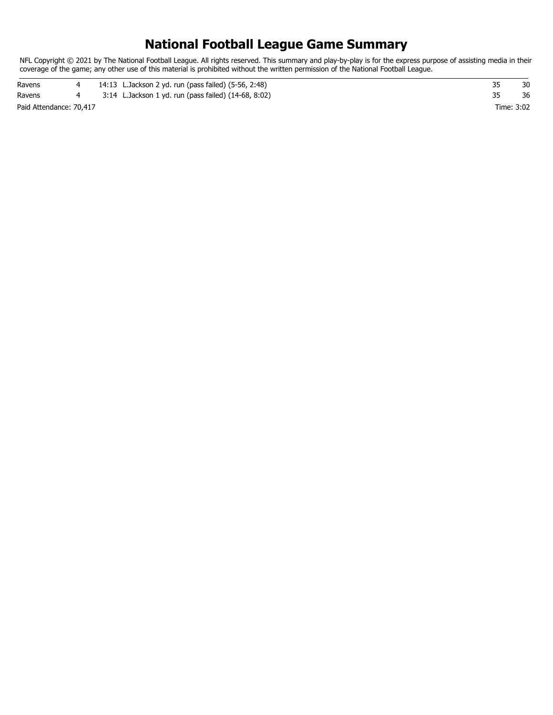# **National Football League Game Summary**

NFL Copyright © 2021 by The National Football League. All rights reserved. This summary and play-by-play is for the express purpose of assisting media in their coverage of the game; any other use of this material is prohibited without the written permission of the National Football League.

Paid Attendance: 70,417 Time: 3:02 Ravens 4 14:13 L.Jackson 2 yd. run (pass failed) (5-56, 2:48) 35 30 Ravens 4 3:14 L.Jackson 1 yd. run (pass failed) (14-68, 8:02) 35 36 36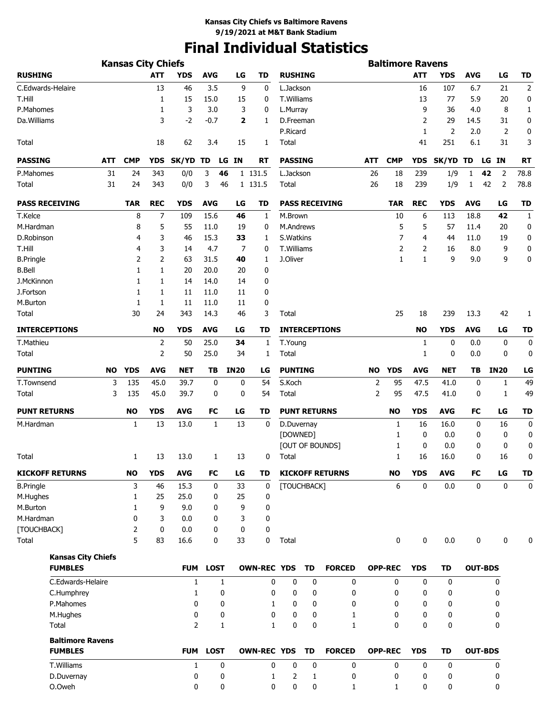# **Final Individual Statistics**

|                           |           | <b>Kansas City Chiefs</b> |            |                |              |              |                    |                |                     |                        |            | <b>Baltimore Ravens</b> |             |             |            |                |                |
|---------------------------|-----------|---------------------------|------------|----------------|--------------|--------------|--------------------|----------------|---------------------|------------------------|------------|-------------------------|-------------|-------------|------------|----------------|----------------|
| <b>RUSHING</b>            |           |                           | <b>ATT</b> | <b>YDS</b>     | <b>AVG</b>   | LG           | <b>TD</b>          | <b>RUSHING</b> |                     |                        |            |                         | <b>ATT</b>  | <b>YDS</b>  | <b>AVG</b> | LG             | <b>TD</b>      |
| C.Edwards-Helaire         |           |                           | 13         | 46             | 3.5          | 9            | 0                  | L.Jackson      |                     |                        |            |                         | 16          | 107         | 6.7        | 21             | $\overline{2}$ |
| T.Hill                    |           |                           | 1          | 15             | 15.0         | 15           | 0                  | T.Williams     |                     |                        |            |                         | 13          | 77          | 5.9        | 20             | 0              |
| P.Mahomes                 |           |                           | 1          | 3              | 3.0          | 3            | 0                  | L.Murray       |                     |                        |            |                         | 9           | 36          | 4.0        | 8              | 1              |
| Da. Williams              |           |                           | 3          | $-2$           | $-0.7$       | 2            | 1                  | D.Freeman      |                     |                        |            |                         | 2           | 29          | 14.5       | 31             | 0              |
|                           |           |                           |            |                |              |              |                    | P.Ricard       |                     |                        |            |                         | 1           | 2           | 2.0        | 2              | 0              |
| Total                     |           |                           | 18         | 62             | 3.4          | 15           | 1                  | Total          |                     |                        |            |                         | 41          | 251         | 6.1        | 31             | 3              |
| <b>PASSING</b>            | ATT       | <b>CMP</b>                | <b>YDS</b> | SK/YD TD       |              | LG IN        | RT                 | <b>PASSING</b> |                     |                        | <b>ATT</b> | <b>CMP</b>              | <b>YDS</b>  | SK/YD TD    |            | LG IN          | <b>RT</b>      |
| P.Mahomes                 | 31        | 24                        | 343        | 0/0            | 3            | 46           | 1 131.5            | L.Jackson      |                     |                        | 26         | 18                      | 239         | 1/9         | 1          | 42<br>2        | 78.8           |
| Total                     | 31        | 24                        | 343        | 0/0            | 3            | 46           | 1 131.5            | Total          |                     |                        | 26         | 18                      | 239         | 1/9         | 1          | 42<br>2        | 78.8           |
|                           |           |                           |            |                |              |              |                    |                |                     |                        |            |                         |             |             |            |                |                |
| <b>PASS RECEIVING</b>     |           | <b>TAR</b>                | <b>REC</b> | <b>YDS</b>     | <b>AVG</b>   | LG           | <b>TD</b>          |                |                     | <b>PASS RECEIVING</b>  |            | <b>TAR</b>              | <b>REC</b>  | <b>YDS</b>  | <b>AVG</b> | LG             | <b>TD</b>      |
| T.Kelce                   |           | 8                         | 7          | 109            | 15.6         | 46           | 1                  | M.Brown        |                     |                        |            | 10                      | 6           | 113         | 18.8       | 42             | 1              |
| M.Hardman                 |           | 8                         | 5          | 55             | 11.0         | 19           | 0                  | M.Andrews      |                     |                        |            | 5                       | 5           | 57          | 11.4       | 20             | 0              |
| D.Robinson                |           | 4                         | 3          | 46             | 15.3         | 33           | 1                  | S. Watkins     |                     |                        |            | 7                       | 4           | 44          | 11.0       | 19             | 0              |
| T.Hill                    |           | 4                         | 3          | 14             | 4.7          | 7            | 0                  | T.Williams     |                     |                        |            | 2                       | 2           | 16          | 8.0        | 9              | 0              |
| <b>B.Pringle</b>          |           | 2                         | 2          | 63             | 31.5         | 40           | 1                  | J.Oliver       |                     |                        |            | 1                       | 1           | 9           | 9.0        | 9              | 0              |
| <b>B.Bell</b>             |           | 1                         | 1          | 20             | 20.0         | 20           | 0                  |                |                     |                        |            |                         |             |             |            |                |                |
| J.McKinnon                |           | 1                         | 1          | 14             | 14.0         | 14           | 0                  |                |                     |                        |            |                         |             |             |            |                |                |
| J.Fortson                 |           | 1                         | 1          | 11             | 11.0         | 11           | 0                  |                |                     |                        |            |                         |             |             |            |                |                |
| M.Burton                  |           | 1                         | 1          | 11             | 11.0         | 11           | 0                  |                |                     |                        |            |                         |             |             |            |                |                |
| Total                     |           | 30                        | 24         | 343            | 14.3         | 46           | 3                  | Total          |                     |                        |            | 25                      | 18          | 239         | 13.3       | 42             | 1              |
| <b>INTERCEPTIONS</b>      |           |                           | <b>NO</b>  | YDS            | <b>AVG</b>   | LG           | TD                 |                |                     | <b>INTERCEPTIONS</b>   |            |                         | <b>NO</b>   | YDS         | <b>AVG</b> | LG             | TD             |
| T.Mathieu                 |           |                           | 2          | 50             | 25.0         | 34           | 1                  | T.Young        |                     |                        |            |                         | 1           | 0           | 0.0        | 0              | 0              |
| Total                     |           |                           | 2          | 50             | 25.0         | 34           | 1                  | Total          |                     |                        |            |                         | 1           | 0           | 0.0        | 0              | 0              |
| <b>PUNTING</b>            | <b>NO</b> | <b>YDS</b>                | <b>AVG</b> | <b>NET</b>     | ΤВ           | <b>IN20</b>  | LG                 | <b>PUNTING</b> |                     |                        | <b>NO</b>  | <b>YDS</b>              | <b>AVG</b>  | <b>NET</b>  | ΤB         | <b>IN20</b>    | LG             |
| T.Townsend                | 3         | 135                       | 45.0       | 39.7           | 0            | 0            | 54                 | S.Koch         |                     |                        | 2          | 95                      | 47.5        | 41.0        | 0          | 1              | 49             |
| Total                     | 3         | 135                       | 45.0       | 39.7           | 0            | 0            | 54                 | Total          |                     |                        | 2          | 95                      | 47.5        | 41.0        | 0          | 1              | 49             |
| <b>PUNT RETURNS</b>       |           | <b>NO</b>                 | <b>YDS</b> | AVG            | FC           | LG           | TD                 |                | <b>PUNT RETURNS</b> |                        |            | <b>NO</b>               | YDS         | AVG         | FC         | LG             | TD             |
| M.Hardman                 |           | 1                         | 13         | 13.0           | $\mathbf{1}$ | 13           | 0                  | D.Duvernay     |                     |                        |            | 1                       | 16          | 16.0        | 0          | 16             | 0              |
|                           |           |                           |            |                |              |              |                    | [DOWNED]       |                     |                        |            | 1                       | 0           | 0.0         | 0          | 0              | 0              |
|                           |           |                           |            |                |              |              |                    |                |                     | [OUT OF BOUNDS]        |            | 1                       | 0           | 0.0         | 0          | 0              | 0              |
| Total                     |           | 1                         | 13         | 13.0           | 1            | 13           | 0                  | Total          |                     |                        |            | 1                       | 16          | 16.0        | 0          | 16             | 0              |
| <b>KICKOFF RETURNS</b>    |           | <b>NO</b>                 | <b>YDS</b> | <b>AVG</b>     | FC           | LG           | <b>TD</b>          |                |                     | <b>KICKOFF RETURNS</b> |            | <b>NO</b>               | <b>YDS</b>  | <b>AVG</b>  | FC         | LG             | <b>TD</b>      |
| <b>B.Pringle</b>          |           | 3                         | 46         | 15.3           | 0            | 33           | 0                  |                | [TOUCHBACK]         |                        |            | 6                       | $\mathbf 0$ | 0.0         | 0          | 0              | $\mathbf 0$    |
| M.Hughes                  |           | 1                         | 25         | 25.0           | 0            | 25           | 0                  |                |                     |                        |            |                         |             |             |            |                |                |
| M.Burton                  |           | 1                         | 9          | 9.0            | 0            | 9            | 0                  |                |                     |                        |            |                         |             |             |            |                |                |
| M.Hardman                 |           | 0                         | 3          | 0.0            | 0            | 3            | 0                  |                |                     |                        |            |                         |             |             |            |                |                |
| [TOUCHBACK]               |           | 2                         | 0          | 0.0            | 0            | 0            | 0                  |                |                     |                        |            |                         |             |             |            |                |                |
| Total                     |           | 5                         | 83         | 16.6           | 0            | 33           | 0                  | Total          |                     |                        |            | $\mathbf 0$             | 0           | 0.0         | 0          | 0              | 0              |
| <b>Kansas City Chiefs</b> |           |                           |            |                |              |              |                    |                |                     |                        |            |                         |             |             |            |                |                |
| <b>FUMBLES</b>            |           |                           |            | <b>FUM</b>     | <b>LOST</b>  |              | <b>OWN-REC YDS</b> |                | TD                  | <b>FORCED</b>          |            | <b>OPP-REC</b>          | <b>YDS</b>  | <b>TD</b>   |            | <b>OUT-BDS</b> |                |
| C.Edwards-Helaire         |           |                           |            | 1              |              | $\mathbf{1}$ | 0                  | 0              | 0                   | 0                      |            | 0                       | 0           | 0           |            | 0              |                |
| C.Humphrey                |           |                           |            | 1              |              | 0            | 0                  | 0              | 0                   | 0                      |            | 0                       | 0           | 0           |            | 0              |                |
| P.Mahomes                 |           |                           |            | 0              |              | 0            | $\mathbf{1}$       | 0              | 0                   | 0                      |            | 0                       | 0           | 0           |            | 0              |                |
| M.Hughes                  |           |                           |            | 0              |              | 0            | 0                  | 0              | 0                   | 1                      |            | 0                       | 0           | 0           |            | 0              |                |
| Total                     |           |                           |            | $\overline{2}$ |              | $\mathbf{1}$ | $\mathbf{1}$       | 0              | 0                   | 1                      |            | 0                       | 0           | 0           |            | 0              |                |
| <b>Baltimore Ravens</b>   |           |                           |            |                |              |              |                    |                |                     |                        |            |                         |             |             |            |                |                |
| <b>FUMBLES</b>            |           |                           |            | <b>FUM</b>     | <b>LOST</b>  |              | <b>OWN-REC YDS</b> |                | <b>TD</b>           | <b>FORCED</b>          |            | <b>OPP-REC</b>          | <b>YDS</b>  | <b>TD</b>   |            | <b>OUT-BDS</b> |                |
| T.Williams                |           |                           |            | 1              |              | 0            | 0                  | 0              | 0                   | 0                      |            | 0                       | 0           | $\mathbf 0$ |            | 0              |                |
| D.Duvernay                |           |                           |            | 0              |              | 0            | 1                  | 2              | 1                   | 0                      |            | 0                       | 0           | 0           |            | 0              |                |
| O.Oweh                    |           |                           |            | 0              |              | 0            | 0                  | 0              | 0                   | 1                      |            | 1                       | 0           | 0           |            | 0              |                |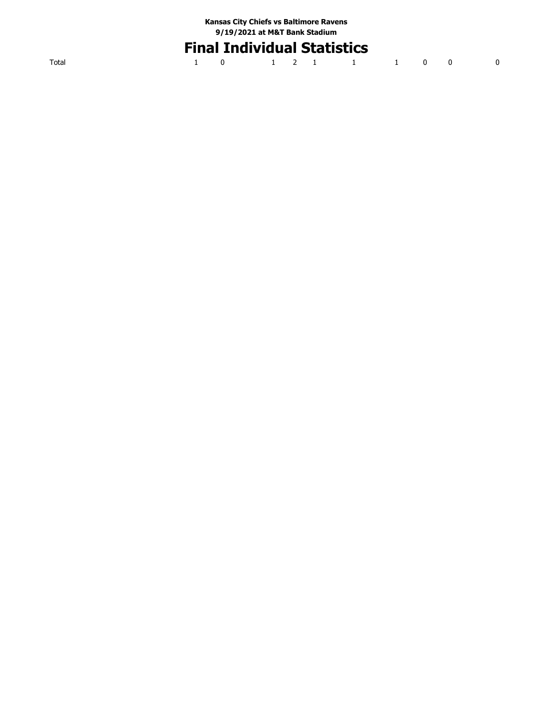# **Final Individual Statistics**

|  | 1 0 1 2 1 1 1 1 0 0 0 |  |  |  |  |
|--|-----------------------|--|--|--|--|
|  |                       |  |  |  |  |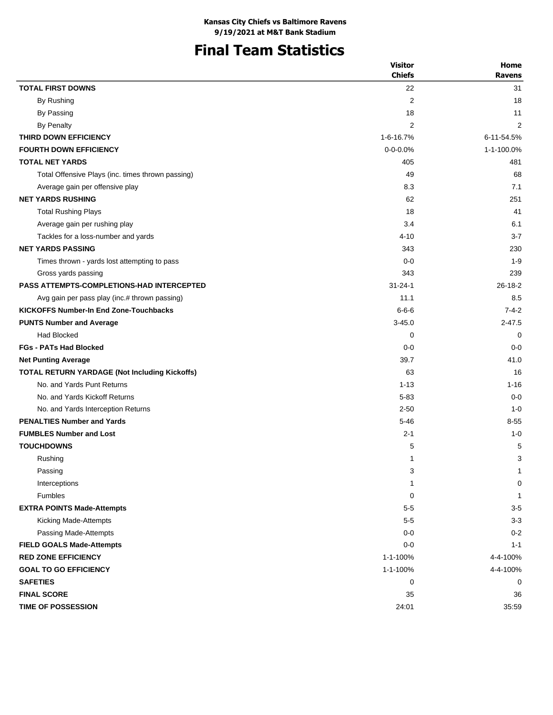# **Final Team Statistics**

|                                                   | <b>Visitor</b><br><b>Chiefs</b> | Home<br><b>Ravens</b> |
|---------------------------------------------------|---------------------------------|-----------------------|
| <b>TOTAL FIRST DOWNS</b>                          | 22                              | 31                    |
| By Rushing                                        | $\overline{2}$                  | 18                    |
| By Passing                                        | 18                              | 11                    |
| By Penalty                                        | 2                               | 2                     |
| THIRD DOWN EFFICIENCY                             | 1-6-16.7%                       | 6-11-54.5%            |
| <b>FOURTH DOWN EFFICIENCY</b>                     | $0 - 0 - 0.0%$                  | 1-1-100.0%            |
| <b>TOTAL NET YARDS</b>                            | 405                             | 481                   |
| Total Offensive Plays (inc. times thrown passing) | 49                              | 68                    |
| Average gain per offensive play                   | 8.3                             | 7.1                   |
| <b>NET YARDS RUSHING</b>                          | 62                              | 251                   |
| <b>Total Rushing Plays</b>                        | 18                              | 41                    |
| Average gain per rushing play                     | 3.4                             | 6.1                   |
| Tackles for a loss-number and yards               | $4 - 10$                        | $3 - 7$               |
| <b>NET YARDS PASSING</b>                          | 343                             | 230                   |
| Times thrown - yards lost attempting to pass      | $0 - 0$                         | $1 - 9$               |
| Gross yards passing                               | 343                             | 239                   |
| <b>PASS ATTEMPTS-COMPLETIONS-HAD INTERCEPTED</b>  | $31 - 24 - 1$                   | $26 - 18 - 2$         |
| Avg gain per pass play (inc.# thrown passing)     | 11.1                            | 8.5                   |
| <b>KICKOFFS Number-In End Zone-Touchbacks</b>     | $6 - 6 - 6$                     | $7 - 4 - 2$           |
| <b>PUNTS Number and Average</b>                   | $3 - 45.0$                      | $2 - 47.5$            |
| <b>Had Blocked</b>                                | 0                               | 0                     |
| <b>FGs - PATs Had Blocked</b>                     | $0 - 0$                         | $0 - 0$               |
| <b>Net Punting Average</b>                        | 39.7                            | 41.0                  |
| TOTAL RETURN YARDAGE (Not Including Kickoffs)     | 63                              | 16                    |
| No. and Yards Punt Returns                        | $1 - 13$                        | $1 - 16$              |
| No. and Yards Kickoff Returns                     | $5 - 83$                        | $0 - 0$               |
| No. and Yards Interception Returns                | $2 - 50$                        | $1 - 0$               |
| <b>PENALTIES Number and Yards</b>                 | $5 - 46$                        | $8 - 55$              |
| <b>FUMBLES Number and Lost</b>                    | $2 - 1$                         | $1 - 0$               |
| <b>TOUCHDOWNS</b>                                 | 5                               | 5                     |
| Rushing                                           | $\mathbf{1}$                    | 3                     |
| Passing                                           | 3                               | 1                     |
| Interceptions                                     | $\mathbf{1}$                    | 0                     |
| <b>Fumbles</b>                                    | 0                               | $\overline{1}$        |
| <b>EXTRA POINTS Made-Attempts</b>                 | $5-5$                           | $3-5$                 |
| Kicking Made-Attempts                             | $5-5$                           | $3 - 3$               |
| Passing Made-Attempts                             | $0-0$                           | $0 - 2$               |
| <b>FIELD GOALS Made-Attempts</b>                  | $0 - 0$                         | $1 - 1$               |
| <b>RED ZONE EFFICIENCY</b>                        | 1-1-100%                        | 4-4-100%              |
| <b>GOAL TO GO EFFICIENCY</b>                      | 1-1-100%                        | 4-4-100%              |
| <b>SAFETIES</b>                                   | 0                               | 0                     |
| <b>FINAL SCORE</b>                                | 35                              | 36                    |
| <b>TIME OF POSSESSION</b>                         | 24:01                           | 35:59                 |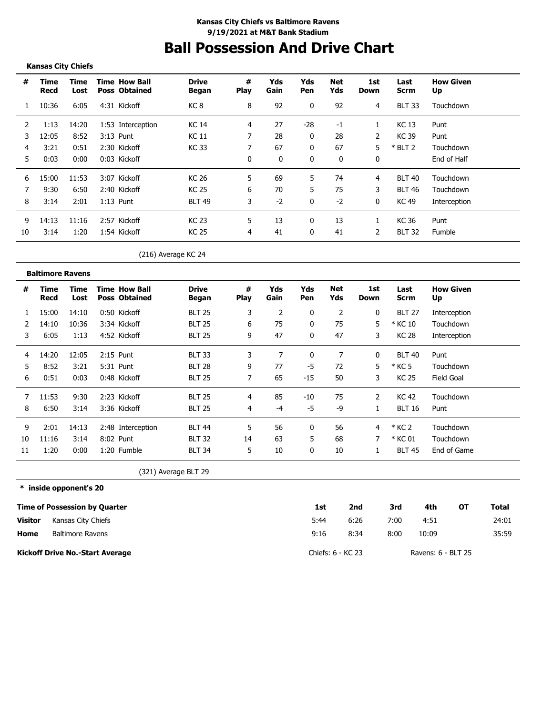# **Ball Possession And Drive Chart**

#### **Kansas City Chiefs**

| #  | Time<br>Recd | Time<br>Lost | <b>Time How Ball</b><br><b>Poss Obtained</b> | <b>Drive</b><br>Began | #<br><b>Play</b> | Yds<br>Gain | Yds<br><b>Pen</b> | Net<br>Yds | 1st<br>Down    | Last<br>Scrm  | <b>How Given</b><br>Up |
|----|--------------|--------------|----------------------------------------------|-----------------------|------------------|-------------|-------------------|------------|----------------|---------------|------------------------|
|    | 10:36        | 6:05         | 4:31 Kickoff                                 | KC 8                  | 8                | 92          | 0                 | 92         | 4              | <b>BLT 33</b> | Touchdown              |
| 2  | 1:13         | 14:20        | 1:53 Interception                            | <b>KC 14</b>          | 4                | 27          | $-28$             | -1         |                | KC 13         | Punt                   |
| 3  | 12:05        | 8:52         | 3:13 Punt                                    | KC 11                 |                  | 28          | 0                 | 28         | 2              | KC 39         | Punt                   |
| 4  | 3:21         | 0:51         | 2:30 Kickoff                                 | KC 33                 |                  | 67          | 0                 | 67         | 5              | $*$ BLT 2     | Touchdown              |
| 5  | 0:03         | 0:00         | 0:03 Kickoff                                 |                       | 0                | 0           | 0                 | 0          | 0              |               | End of Half            |
| 6  | 15:00        | 11:53        | 3:07 Kickoff                                 | <b>KC 26</b>          | 5.               | 69          | 5                 | 74         | 4              | <b>BLT 40</b> | Touchdown              |
|    | 9:30         | 6:50         | 2:40 Kickoff                                 | <b>KC 25</b>          | 6                | 70          | 5                 | 75         | 3              | <b>BLT 46</b> | Touchdown              |
| 8  | 3:14         | 2:01         | $1:13$ Punt                                  | <b>BLT 49</b>         | 3                | $-2$        | 0                 | $-2$       | 0              | KC 49         | Interception           |
| 9  | 14:13        | 11:16        | 2:57 Kickoff                                 | <b>KC 23</b>          | 5.               | 13          | 0                 | 13         |                | KC 36         | Punt                   |
| 10 | 3:14         | 1:20         | 1:54 Kickoff                                 | <b>KC 25</b>          | 4                | 41          | $\mathbf{0}$      | 41         | $\overline{2}$ | <b>BLT 32</b> | Fumble                 |

### (216) Average KC 24

|    | <b>Baltimore Ravens</b> |              |                                              |                       |           |             |              |                   |             |               |                        |
|----|-------------------------|--------------|----------------------------------------------|-----------------------|-----------|-------------|--------------|-------------------|-------------|---------------|------------------------|
| #  | Time<br>Recd            | Time<br>Lost | <b>Time How Ball</b><br><b>Poss Obtained</b> | <b>Drive</b><br>Began | #<br>Play | Yds<br>Gain | Yds<br>Pen   | <b>Net</b><br>Yds | 1st<br>Down | Last<br>Scrm  | <b>How Given</b><br>Up |
|    | 15:00                   | 14:10        | 0:50 Kickoff                                 | <b>BLT 25</b>         | 3         | 2           | 0            | 2                 | 0           | <b>BLT 27</b> | Interception           |
|    | 14:10                   | 10:36        | 3:34 Kickoff                                 | <b>BLT 25</b>         | 6         | 75          | $\mathbf{0}$ | 75                | 5           | * KC 10       | Touchdown              |
| 3  | 6:05                    | 1:13         | 4:52 Kickoff                                 | <b>BLT 25</b>         | 9         | 47          | $\mathbf{0}$ | 47                | 3           | <b>KC 28</b>  | Interception           |
| 4  | 14:20                   | 12:05        | $2:15$ Punt                                  | <b>BLT 33</b>         | 3         |             | 0            |                   | 0           | <b>BLT 40</b> | Punt                   |
| 5  | 8:52                    | 3:21         | 5:31 Punt                                    | <b>BLT 28</b>         | 9         | 77          | -5           | 72                | 5           | * KC 5        | Touchdown              |
| 6  | 0:51                    | 0:03         | 0:48 Kickoff                                 | <b>BLT 25</b>         | 7         | 65          | -15          | 50                | 3           | <b>KC 25</b>  | Field Goal             |
| 7  | 11:53                   | 9:30         | 2:23 Kickoff                                 | <b>BLT 25</b>         | 4         | 85          | $-10$        | 75                | 2           | <b>KC 42</b>  | Touchdown              |
| 8  | 6:50                    | 3:14         | 3:36 Kickoff                                 | <b>BLT 25</b>         | 4         | $-4$        | -5           | -9                |             | <b>BLT 16</b> | Punt                   |
| 9  | 2:01                    | 14:13        | 2:48 Interception                            | <b>BLT 44</b>         | 5         | 56          | 0            | 56                | 4           | * KC 2        | Touchdown              |
| 10 | 11:16                   | 3:14         | 8:02 Punt                                    | <b>BLT 32</b>         | 14        | 63          | 5            | 68                |             | * KC 01       | Touchdown              |
| 11 | 1:20                    | 0:00         | 1:20 Fumble                                  | <b>BLT 34</b>         | 5         | 10          | 0            | 10                |             | <b>BLT 45</b> | End of Game            |

(321) Average BLT 29

#### **\* inside opponent's 20**

|                | Time of Possession by Quarter          | 1st               | 2nd  | 3rd  | 4th                | OТ | Total |
|----------------|----------------------------------------|-------------------|------|------|--------------------|----|-------|
| <b>Visitor</b> | Kansas City Chiefs                     | 5:44              | 6:26 | 7:00 | 4:51               |    | 24:01 |
| Home           | <b>Baltimore Ravens</b>                | 9:16              | 8:34 | 8:00 | 10:09              |    | 35:59 |
|                | <b>Kickoff Drive No.-Start Average</b> | Chiefs: 6 - KC 23 |      |      | Ravens: 6 - BLT 25 |    |       |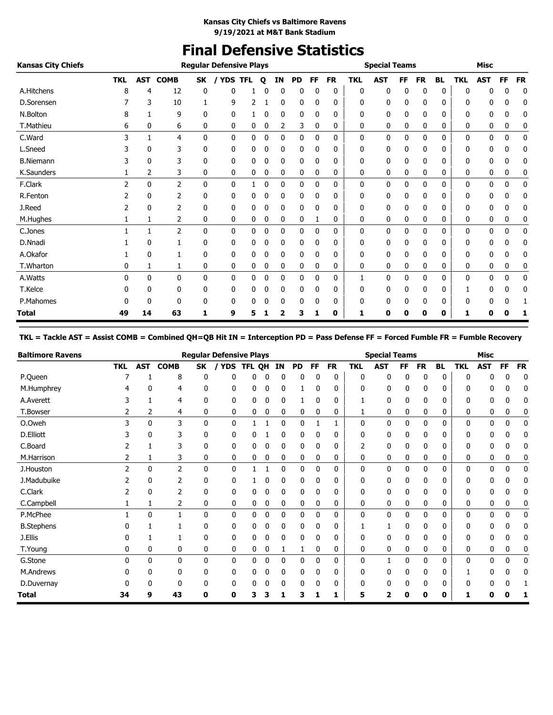# **Final Defensive Statistics**

| <b>Kansas City Chiefs</b> |              |              |                |              | <b>Regular Defensive Plays</b> |   |   |           |           |    |           |            | <b>Special Teams</b> |    |           |           |            | <b>Misc</b> |           |           |
|---------------------------|--------------|--------------|----------------|--------------|--------------------------------|---|---|-----------|-----------|----|-----------|------------|----------------------|----|-----------|-----------|------------|-------------|-----------|-----------|
|                           | <b>TKL</b>   | <b>AST</b>   | <b>COMB</b>    | <b>SK</b>    | <b>YDS TFL</b>                 |   | Q | <b>IN</b> | <b>PD</b> | FF | <b>FR</b> | <b>TKL</b> | <b>AST</b>           | FF | <b>FR</b> | <b>BL</b> | <b>TKL</b> | <b>AST</b>  | <b>FF</b> | <b>FR</b> |
| A.Hitchens                | 8            | 4            | 12             | 0            | 0                              |   | 0 | 0         | 0         | 0  | 0         | 0          | 0                    | 0  | 0         | 0         | n          |             | ŋ         | 0         |
| D.Sorensen                |              | 3            | 10             |              | 9                              | 2 |   | 0         | 0         | 0  | 0         | 0          | 0                    | 0  | 0         | 0         | 0          | 0           | 0         | 0         |
| N.Bolton                  | 8            |              | 9              | 0            | 0                              |   |   | 0         | 0         | 0  | 0         | 0          | 0                    | 0  | 0         | 0         | 0          | 0           | 0         | 0         |
| T.Mathieu                 | 6            | 0            | 6              | 0            | 0                              | 0 | 0 | 2         | 3         | 0  | 0         | 0          | 0                    | 0  | 0         | 0         | 0          | 0           | 0         | 0         |
| C.Ward                    | 3            | 1            | $\overline{4}$ | $\mathbf{0}$ | $\mathbf{0}$                   | 0 | 0 | 0         | 0         | 0  | 0         | 0          | 0                    | 0  | 0         | 0         | 0          | 0           | 0         | 0         |
| L.Sneed                   |              | 0            | 3              | 0            | 0                              | 0 | 0 | 0         | 0         | 0  | 0         | 0          | 0                    | 0  | 0         | 0         | 0          | 0           | 0         | 0         |
| <b>B.Niemann</b>          |              | 0            | 3              | 0            | 0                              | 0 | 0 | 0         | 0         | 0  | 0         | 0          | 0                    | 0  | 0         | 0         | 0          | 0           | 0         | 0         |
| K.Saunders                |              | 2            | 3              | 0            | 0                              | 0 | 0 | 0         | 0         | 0  | 0         | 0          | 0                    | 0  | 0         | 0         | 0          | 0           | 0         | 0         |
| F.Clark                   | 2            | $\mathbf{0}$ | 2              | $\mathbf{0}$ | 0                              |   | 0 | 0         | 0         | 0  | 0         | 0          | 0                    | 0  | 0         | 0         | 0          | 0           | 0         | 0         |
| R.Fenton                  |              | 0            | 2              | 0            | 0                              | 0 | 0 | 0         | 0         | 0  | 0         | 0          | 0                    | 0  | 0         | 0         | 0          | 0           | 0         | 0         |
| J.Reed                    |              | 0            | 2              | 0            | 0                              | 0 | 0 | 0         | 0         | 0  | 0         | 0          | 0                    | 0  | 0         | 0         | 0          | 0           | 0         | 0         |
| M.Hughes                  |              | 1            | 2              | 0            | 0                              | 0 | 0 | 0         | 0         |    | 0         | 0          | 0                    | 0  | 0         | 0         | 0          | 0           | 0         | 0         |
| C.Jones                   |              | 1            | 2              | 0            | $\mathbf 0$                    | 0 | 0 | 0         | 0         | 0  | 0         | 0          | 0                    | 0  | 0         | 0         | 0          | 0           | 0         | 0         |
| D.Nnadi                   |              | 0            |                | 0            | 0                              | 0 | 0 | 0         | 0         | 0  | 0         | 0          | 0                    | 0  | 0         | 0         | 0          | 0           | 0         | 0         |
| A.Okafor                  |              | 0            |                | 0            | 0                              | 0 | 0 | 0         | 0         | 0  | 0         | 0          | 0                    | 0  | 0         | 0         | 0          | 0           | 0         | 0         |
| T.Wharton                 | 0            | 1            | 1              | 0            | 0                              | 0 | 0 | 0         | 0         | 0  | 0         | 0          | 0                    | 0  | 0         | 0         | 0          | 0           | 0         | 0         |
| A.Watts                   | <sup>0</sup> | 0            | $\mathbf{0}$   | $\mathbf{0}$ | 0                              | 0 | 0 | 0         | 0         | 0  | 0         |            | 0                    | 0  | 0         | 0         | 0          | 0           | 0         | 0         |
| T.Kelce                   | 0            | 0            | 0              | 0            | 0                              | 0 | 0 | 0         | 0         | 0  | 0         | 0          | 0                    | 0  | 0         | 0         |            | 0           | 0         | 0         |
| P.Mahomes                 |              | 0            | 0              | 0            | 0                              | 0 | 0 | 0         | 0         | 0  | 0         | 0          | 0                    | 0  | 0         | 0         | 0          | 0           | 0         |           |
| <b>Total</b>              | 49           | 14           | 63             | 1            | 9                              | 5 |   | 2         | 3         | 1  | 0         | 1          | 0                    | 0  | 0         | 0         | 1          | 0           | 0         | 1         |

### **TKL = Tackle AST = Assist COMB = Combined QH=QB Hit IN = Interception PD = Pass Defense FF = Forced Fumble FR = Fumble Recovery**

| <b>Baltimore Ravens</b> |               |              |                |              | <b>Regular Defensive Plays</b> |        |   |    |           |           |           |            | <b>Special Teams</b> |           |           |              |            | <b>Misc</b> |              |           |
|-------------------------|---------------|--------------|----------------|--------------|--------------------------------|--------|---|----|-----------|-----------|-----------|------------|----------------------|-----------|-----------|--------------|------------|-------------|--------------|-----------|
|                         | <b>TKL</b>    | <b>AST</b>   | <b>COMB</b>    | SK           | <b>YDS</b>                     | TFL QH |   | IN | <b>PD</b> | <b>FF</b> | <b>FR</b> | <b>TKL</b> | <b>AST</b>           | <b>FF</b> | <b>FR</b> | <b>BL</b>    | <b>TKL</b> | <b>AST</b>  | <b>FF</b>    | <b>FR</b> |
| P.Queen                 |               |              | 8              | 0            | 0                              | 0      |   | 0  | 0         |           | 0         | 0          | 0                    | 0         | 0         | 0            |            |             | 0            | 0         |
| M.Humphrey              |               | 0            | 4              | 0            | 0                              | 0      |   | 0  |           |           | 0         |            | 0                    | 0         |           | 0            |            |             | 0            | 0         |
| A.Averett               |               |              | 4              | 0            | 0                              | 0      | 0 | 0  |           | 0         | 0         |            | 0                    | 0         | 0         | 0            | n          | 0           |              | 0         |
| T.Bowser                |               | 2            | 4              | 0            | 0                              | 0      | 0 | 0  | 0         | 0         | 0         |            | 0                    | 0         | 0         | 0            | 0          | 0           | 0            | 0         |
| O.Oweh                  |               | $\mathbf{0}$ | 3              | $\mathbf{0}$ | 0                              |        |   | 0  | 0         |           | 1         | 0          | 0                    | 0         | 0         | 0            | 0          | 0           | 0            | 0         |
| D.Elliott               |               | $\Omega$     |                | 0            | 0                              | 0      |   | 0  | 0         | n         | 0         | 0          | 0                    | 0         | ŋ         | <sup>0</sup> |            | 0           |              | 0         |
| C.Board                 |               |              | 3              | 0            | 0                              | 0      | 0 | 0  | 0         | 0         | 0         |            | 0                    | 0         | 0         | 0            | 0          | 0           | 0            | 0         |
| M.Harrison              |               |              | 3              | 0            | 0                              | 0      | 0 | 0  | 0         | 0         | 0         | 0          | 0                    | 0         | 0         | 0            | 0          | 0           | 0            | 0         |
| J.Houston               | $\mathcal{P}$ | $\mathbf{0}$ | $\overline{2}$ | $\mathbf{0}$ | 0                              |        |   | 0  | 0         | 0         | 0         | 0          | 0                    | 0         | 0         | 0            | O          | 0           | 0            | 0         |
| J.Madubuike             |               | 0            | $\overline{2}$ | 0            | 0                              |        | 0 | 0  | 0         | 0         | 0         | 0          | 0                    | 0         | 0         | 0            |            | 0           | 0            | 0         |
| C.Clark                 |               | 0            |                | 0            | 0                              | 0      | 0 | 0  | 0         | 0         | 0         | 0          | 0                    | 0         | 0         | 0            | 0          | 0           | 0            | 0         |
| C.Campbell              |               | 1            | 2              | 0            | 0                              | 0      | 0 | 0  | 0         | 0         | 0         | 0          | 0                    | 0         | 0         | 0            | 0          | 0           | 0            | 0         |
| P.McPhee                |               | $\mathbf{0}$ | 1              | $\mathbf{0}$ | 0                              | 0      | 0 | 0  | 0         | 0         | 0         | 0          | 0                    | 0         | 0         | 0            | 0          | 0           | 0            | 0         |
| <b>B.Stephens</b>       |               |              |                | 0            | 0                              | 0      | 0 | 0  | 0         | 0         | 0         |            |                      | 0         | 0         | 0            | n          | 0           |              | 0         |
| J.Ellis                 |               |              |                | 0            | 0                              | 0      |   | 0  | 0         |           | 0         | 0          | 0                    | 0         | 0         | 0            | 0          | 0           | 0            | 0         |
| T.Young                 | 0             | 0            | 0              | 0            | 0                              | 0      | 0 |    | 1         | 0         | 0         | 0          | 0                    | 0         | 0         | 0            | 0          | 0           | 0            | 0         |
| G.Stone                 | ŋ             | 0            | 0              | 0            | 0                              | 0      | 0 | 0  | 0         | 0         | 0         | 0          | 1                    | 0         | 0         | 0            | 0          | 0           | $\mathbf{0}$ | 0         |
| M.Andrews               |               | 0            | 0              | 0            | 0                              | 0      |   | 0  | 0         |           | 0         | 0          | 0                    | 0         | 0         | 0            |            | 0           | n            | 0         |
| D.Duvernay              |               | n            | <sup>0</sup>   | 0            | 0                              | 0      |   | 0  | 0         |           | 0         | 0          | 0                    | 0         |           | 0            |            | 0           |              |           |
| Total                   | 34            | 9            | 43             | 0            | 0                              | 3      |   |    | 3         |           | ı         | 5          | 2                    |           | 0         | 0            |            | Ω           | Ω            | J.        |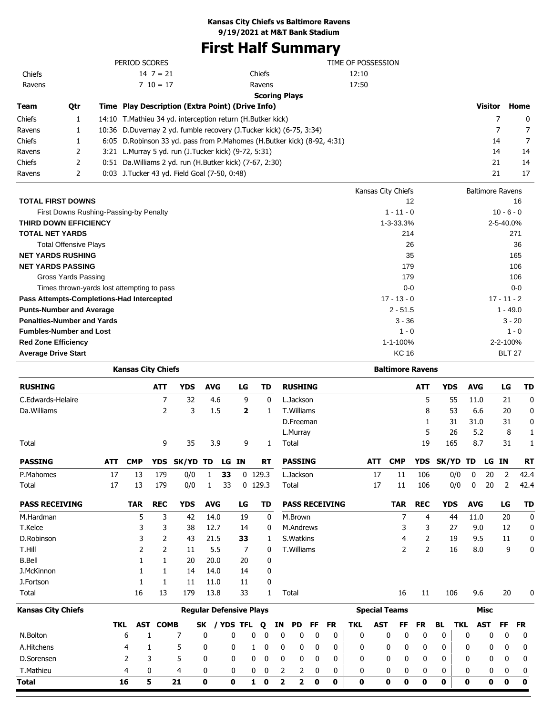# **First Half Summary**

|        |     | PERIOD SCORES                                                |                                                                            | TIME OF POSSESSION |                         |          |
|--------|-----|--------------------------------------------------------------|----------------------------------------------------------------------------|--------------------|-------------------------|----------|
| Chiefs |     | $14 \ 7 = 21$                                                | Chiefs                                                                     | 12:10              |                         |          |
| Ravens |     | $7 \t10 = 17$                                                | Ravens                                                                     | 17:50              |                         |          |
|        |     |                                                              | <b>Scoring Plays</b>                                                       |                    |                         |          |
| Team   | Qtr | Time Play Description (Extra Point) (Drive Info)             |                                                                            |                    | <b>Visitor</b>          | Home     |
| Chiefs |     | 14:10 T. Mathieu 34 yd. interception return (H. Butker kick) |                                                                            |                    |                         | $\Omega$ |
| Ravens |     |                                                              | 10:36 D.Duvernay 2 yd. fumble recovery (J.Tucker kick) (6-75, 3:34)        |                    |                         |          |
| Chiefs |     |                                                              | 6:05 D. Robinson 33 yd. pass from P. Mahomes (H. Butker kick) (8-92, 4:31) |                    | 14                      | 7        |
| Ravens | 2   | 3:21 L.Murray 5 yd. run (J.Tucker kick) (9-72, 5:31)         |                                                                            |                    | 14                      | 14       |
| Chiefs | 2   | 0:51 Da. Williams 2 yd. run (H. Butker kick) (7-67, 2:30)    |                                                                            |                    | 21                      | 14       |
| Ravens | 2   | 0:03 J. Tucker 43 yd. Field Goal (7-50, 0:48)                |                                                                            |                    | 21                      | 17       |
|        |     |                                                              |                                                                            | Kansas City Chiefs | <b>Baltimore Ravens</b> |          |

|                                            | Kalibas City Chicls | <b>DAILITIULE NAVELIS</b> |
|--------------------------------------------|---------------------|---------------------------|
| <b>TOTAL FIRST DOWNS</b>                   | 12                  | 16                        |
| First Downs Rushing-Passing-by Penalty     | $1 - 11 - 0$        | $10 - 6 - 0$              |
| <b>THIRD DOWN EFFICIENCY</b>               | $1 - 3 - 33.3%$     | 2-5-40.0%                 |
| <b>TOTAL NET YARDS</b>                     | 214                 | 271                       |
| <b>Total Offensive Plays</b>               | 26                  | 36                        |
| <b>NET YARDS RUSHING</b>                   | 35                  | 165                       |
| <b>NET YARDS PASSING</b>                   | 179                 | 106                       |
| Gross Yards Passing                        | 179                 | 106                       |
| Times thrown-yards lost attempting to pass | $0-0$               | $0-0$                     |
| Pass Attempts-Completions-Had Intercepted  | $17 - 13 - 0$       | $17 - 11 - 2$             |
| <b>Punts-Number and Average</b>            | $2 - 51.5$          | $1 - 49.0$                |
| <b>Penalties-Number and Yards</b>          | $3 - 36$            | $3 - 20$                  |
| <b>Fumbles-Number and Lost</b>             | $1 - 0$             | $1 - 0$                   |
| <b>Red Zone Efficiency</b>                 | 1-1-100%            | 2-2-100%                  |
| <b>Average Drive Start</b>                 | <b>KC 16</b>        | <b>BLT 27</b>             |

| <b>Kansas City Chiefs</b> |            |            |                |                                |              |           |             |   |              |                         |                   |    |                       |            |            | <b>Baltimore Ravens</b> |                |           |            |            |            |           |              |
|---------------------------|------------|------------|----------------|--------------------------------|--------------|-----------|-------------|---|--------------|-------------------------|-------------------|----|-----------------------|------------|------------|-------------------------|----------------|-----------|------------|------------|------------|-----------|--------------|
| <b>RUSHING</b>            |            |            | <b>ATT</b>     | <b>YDS</b>                     | <b>AVG</b>   |           | LG          |   | <b>TD</b>    |                         | <b>RUSHING</b>    |    |                       |            |            |                         | <b>ATT</b>     |           | <b>YDS</b> | <b>AVG</b> |            | LG        | <b>TD</b>    |
| C.Edwards-Helaire         |            |            | $\overline{7}$ | 32                             |              | 4.6       | 9           |   | 0            |                         | L.Jackson         |    |                       |            |            |                         | 5              |           | 55         | 11.0       |            | 21        | 0            |
| Da. Williams              |            |            | $\overline{2}$ | 3                              |              | 1.5       | 2           |   | 1            |                         | T.Williams        |    |                       |            |            |                         | 8              |           | 53         | 6.6        |            | 20        | 0            |
|                           |            |            |                |                                |              |           |             |   |              |                         | D.Freeman         |    |                       |            |            |                         | 1              |           | 31         | 31.0       |            | 31        | 0            |
|                           |            |            |                |                                |              |           |             |   |              |                         | L.Murray          |    |                       |            |            |                         | 5              |           | 26         | 5.2        |            | 8         | $\mathbf{1}$ |
| Total                     |            |            | 9              | 35                             |              | 3.9       | 9           |   | 1            |                         | Total             |    |                       |            |            |                         | 19             |           | 165        | 8.7        |            | 31        | 1            |
| <b>PASSING</b>            | <b>ATT</b> | <b>CMP</b> | <b>YDS</b>     | SK/YD TD                       |              |           | LG IN       |   | <b>RT</b>    |                         | <b>PASSING</b>    |    |                       |            | <b>ATT</b> | <b>CMP</b>              | <b>YDS</b>     | SK/YD TD  |            |            | LG IN      |           | <b>RT</b>    |
| P.Mahomes                 | 17         | 13         | 179            | 0/0                            | 1            | 33        |             |   | 0, 129.3     |                         | L.Jackson         |    |                       |            | 17         | 11                      | 106            |           | 0/0        | 0          | 20         | 2         | 42.4         |
| Total                     | 17         | 13         | 179            | 0/0                            | 1            | 33        |             |   | $0$ 129.3    |                         | Total             |    |                       |            | 17         | 11                      | 106            |           | 0/0        | 0          | 20         | 2         | 42.4         |
| <b>PASS RECEIVING</b>     |            | <b>TAR</b> | <b>REC</b>     | <b>YDS</b>                     | <b>AVG</b>   |           | LG          |   | TD           |                         |                   |    | <b>PASS RECEIVING</b> |            |            | <b>TAR</b>              | <b>REC</b>     |           | <b>YDS</b> | <b>AVG</b> |            | LG        | <b>TD</b>    |
| M.Hardman                 |            | 5          | 3              | 42                             | 14.0         |           | 19          |   | 0            |                         | M.Brown           |    |                       |            |            | 7                       | 4              |           | 44         | 11.0       |            | 20        | 0            |
| T.Kelce                   |            | 3          | 3              | 38                             | 12.7         |           | 14          |   | 0            |                         | M.Andrews         |    |                       |            |            | 3                       | 3              |           | 27         | 9.0        |            | 12        | 0            |
| D.Robinson                |            | 3          | 2              | 43                             | 21.5         |           | 33          |   | 1            |                         | S. Watkins        |    |                       |            |            | 4                       | 2              |           | 19         | 9.5        |            | 11        | 0            |
| T.Hill                    |            | 2          | $\overline{2}$ | 11                             |              | 5.5       | 7           |   | 0            |                         | <b>T.Williams</b> |    |                       |            |            | 2                       | $\overline{2}$ |           | 16         | 8.0        |            | 9         | 0            |
| <b>B.Bell</b>             |            | 1          | 1              | 20                             | 20.0         |           | 20          |   | 0            |                         |                   |    |                       |            |            |                         |                |           |            |            |            |           |              |
| J.McKinnon                |            | 1          | 1              | 14                             | 14.0         |           | 14          |   | 0            |                         |                   |    |                       |            |            |                         |                |           |            |            |            |           |              |
| J.Fortson                 |            | 1          | 1              | 11                             | 11.0         |           | 11          |   | 0            |                         |                   |    |                       |            |            |                         |                |           |            |            |            |           |              |
| Total                     |            | 16         | 13             | 179                            | 13.8         |           | 33          |   | $\mathbf{1}$ |                         | Total             |    |                       |            |            | 16                      | 11             |           | 106        | 9.6        |            | 20        | 0            |
| Kansas City Chiefs        |            |            |                | <b>Reqular Defensive Plays</b> |              |           |             |   |              |                         |                   |    |                       |            |            | <b>Special Teams</b>    |                |           |            |            | Misc       |           |              |
|                           | <b>TKL</b> | <b>AST</b> | <b>COMB</b>    |                                | SK           | / YDS TFL |             |   | Q            | ΙN                      | <b>PD</b>         | FF | <b>FR</b>             | <b>TKL</b> | <b>AST</b> | FF                      | <b>FR</b>      | <b>BL</b> | <b>TKL</b> |            | <b>AST</b> | <b>FF</b> | <b>FR</b>    |
| N.Bolton                  |            | 6          | 1              | 7                              | 0            |           | 0           | 0 | 0            | 0                       | 0                 | 0  | 0                     | 0          |            | $\mathbf 0$<br>0        | $\mathbf 0$    | 0         |            | 0          | 0          | 0         | 0            |
| A.Hitchens                |            | 4          | 1              | 5                              | 0            |           | 0           | 1 | 0            | 0                       | 0                 | 0  | 0                     | 0          |            | 0<br>0                  | 0              | 0         |            | 0          | 0          | 0         | 0            |
| D.Sorensen                |            | 2          | 3              | 5                              | 0            |           | 0           | 0 | 0            | 0                       | 0                 | 0  | 0                     | 0          |            | 0<br>0                  | 0              | 0         |            | 0          | 0          | 0         | 0            |
| T.Mathieu                 |            | 4          | 0              | 4                              | 0            |           | 0           | 0 | 0            | 2                       | 2                 | 0  | 0                     | 0          |            | 0<br>0                  | 0              | 0         |            | 0          | 0          | 0         | 0            |
| Total                     |            | 16         | 5              | 21                             | $\mathbf{0}$ |           | $\mathbf 0$ | 1 | $\mathbf 0$  | $\overline{\mathbf{2}}$ | $\mathbf{z}$      | 0  | 0                     | 0          |            | $\mathbf{0}$<br>0       | 0              | 0         |            | 0          | 0          | 0         | 0            |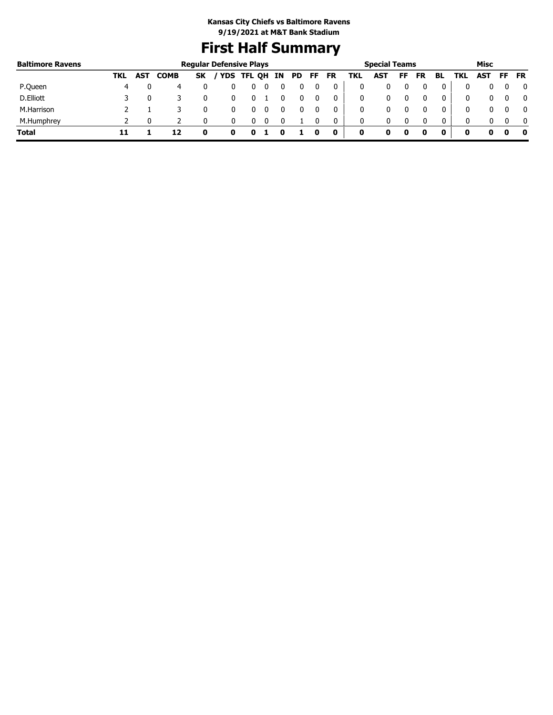# **First Half Summary**

| <b>Baltimore Ravens</b> |     |            |             |           | <b>Regular Defensive Plays</b> |               |  |     |     |           |     | <b>Special Teams</b> |    | Misc      |    |            |            |          |           |  |
|-------------------------|-----|------------|-------------|-----------|--------------------------------|---------------|--|-----|-----|-----------|-----|----------------------|----|-----------|----|------------|------------|----------|-----------|--|
|                         | TKL | <b>AST</b> | <b>COMB</b> | <b>SK</b> |                                | YDS TFL QH IN |  | PD. | FF. | <b>FR</b> | TKL | AST                  | FF | <b>FR</b> | BL | <b>TKL</b> | <b>AST</b> | FF .     | <b>FR</b> |  |
| P.Queen                 | 4   |            |             |           |                                |               |  |     |     |           |     |                      |    |           |    |            | 0          |          |           |  |
| D.Elliott               |     |            |             |           |                                |               |  |     |     |           | 0   |                      |    |           |    |            | 0          |          |           |  |
| M.Harrison              |     |            |             |           |                                |               |  |     |     |           | 0   |                      |    |           |    | 0          |            |          |           |  |
| M.Humphrey              |     |            |             |           |                                |               |  |     |     | 0         | 0   | 0                    |    |           | 0  | 0          | 0.         | $\Omega$ |           |  |
| <b>Total</b>            |     |            | 12          |           | o                              |               |  |     |     | 0         | 0   |                      |    |           | 0  | 0          |            | o        |           |  |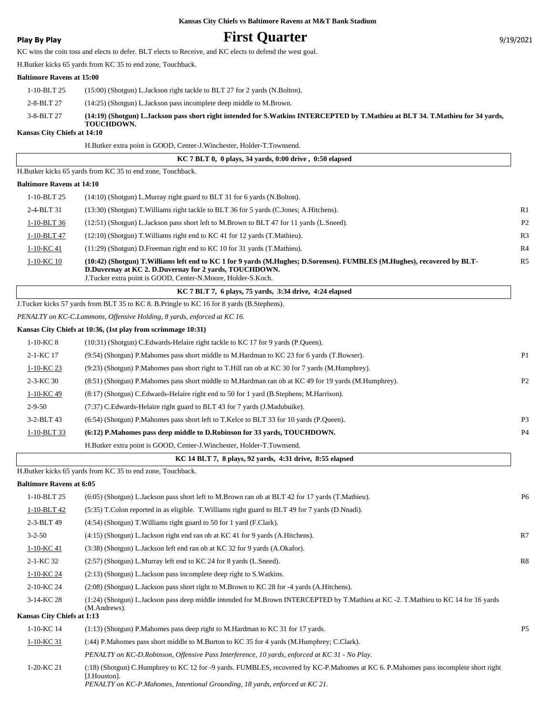## **Play By Play Play Play Play By Play First Quarter Play By Play Play Play Play Play Play Play Play Play Play Play Play Play Play Play Play Play Play Play Play Play Play**

KC wins the coin toss and elects to defer. BLT elects to Receive, and KC elects to defend the west goal.

H.Butker kicks 65 yards from KC 35 to end zone, Touchback.

#### **Baltimore Ravens at 15:00**

|               | <b>TOUCHDOWN.</b>                                                                                                               |
|---------------|---------------------------------------------------------------------------------------------------------------------------------|
| 3-8-BLT 27    | (14:19) (Shotgun) L.Jackson pass short right intended for S.Watkins INTERCEPTED by T.Mathieu at BLT 34. T.Mathieu for 34 vards. |
| 2-8-BLT 27    | $(14:25)$ (Shotgun) L. Jackson pass incomplete deep middle to M. Brown.                                                         |
| $1-10-BLT$ 25 | $(15:00)$ (Shotgun) L. Jackson right tackle to BLT 27 for 2 yards (N. Bolton).                                                  |
|               |                                                                                                                                 |

#### **Kansas City Chiefs at 14:10**

H.Butker extra point is GOOD, Center-J.Winchester, Holder-T.Townsend.

|                                  | KC 7 BLT 0, 0 plays, 34 yards, 0:00 drive, 0:50 elapsed                                   |                |
|----------------------------------|-------------------------------------------------------------------------------------------|----------------|
|                                  | H.Butker kicks 65 yards from KC 35 to end zone, Touchback.                                |                |
| <b>Baltimore Ravens at 14:10</b> |                                                                                           |                |
| 1-10-BLT 25                      | $(14:10)$ (Shotgun) L. Murray right guard to BLT 31 for 6 yards (N. Bolton).              |                |
| 2-4-BLT 31                       | (13:30) (Shotgun) T. Williams right tackle to BLT 36 for 5 yards (C. Jones; A. Hitchens). | R1             |
| 1-10-BLT 36                      | (12:51) (Shotgun) L.Jackson pass short left to M.Brown to BLT 47 for 11 yards (L.Sneed).  | P <sub>2</sub> |
| 1-10-BLT 47                      | $(12:10)$ (Shotgun) T. Williams right end to KC 41 for 12 yards (T. Mathieu).             | R <sub>3</sub> |
| 1-10-KC 41                       | $(11:29)$ (Shotgun) D. Freeman right end to KC 10 for 31 yards (T. Mathieu).              | R <sub>4</sub> |

#### 1-10-KC 10 (10:42) (Shotgun) T.Williams left end to KC 1 for 9 yards (M.Hughes; D.Sorensen). FUMBLES (M.Hughes), recovered by BLT-**D.Duvernay at KC 2. D.Duvernay for 2 yards, TOUCHDOWN.** J.Tucker extra point is GOOD, Center-N.Moore, Holder-S.Koch.

 **KC 7 BLT 7, 6 plays, 75 yards, 3:34 drive, 4:24 elapsed**

J.Tucker kicks 57 yards from BLT 35 to KC 8. B.Pringle to KC 16 for 8 yards (B.Stephens).

*PENALTY on KC-C.Lammons, Offensive Holding, 8 yards, enforced at KC 16.*

#### **Kansas City Chiefs at 10:36, (1st play from scrimmage 10:31)**

| KC 14 BLT 7, 8 plays, 92 yards, 4:31 drive, 8:55 elapsed |                  |                                                                                                      |                |  |  |  |  |
|----------------------------------------------------------|------------------|------------------------------------------------------------------------------------------------------|----------------|--|--|--|--|
|                                                          |                  | H.Butker extra point is GOOD, Center-J.Winchester, Holder-T.Townsend.                                |                |  |  |  |  |
|                                                          | $1-10-BLT33$     | (6:12) P. Mahomes pass deep middle to D. Robinson for 33 vards, TOUCHDOWN.                           | P <sub>4</sub> |  |  |  |  |
|                                                          | $3 - 2 - BLT 43$ | (6:54) (Shotgun) P. Mahomes pass short left to T. Kelce to BLT 33 for 10 yards (P. Queen).           | P <sub>3</sub> |  |  |  |  |
|                                                          | $2 - 9 - 50$     | (7:37) C.Edwards-Helaire right guard to BLT 43 for 7 yards (J.Madubuike).                            |                |  |  |  |  |
|                                                          | 1-10-KC 49       | (8.17) (Shotgun) C. Edwards-Helaire right end to 50 for 1 yard (B. Stephens; M. Harrison).           |                |  |  |  |  |
|                                                          | $2-3-KC_{30}$    | (8:51) (Shotgun) P.Mahomes pass short middle to M.Hardman ran ob at KC 49 for 19 yards (M.Humphrey). | P <sub>2</sub> |  |  |  |  |
|                                                          | 1-10-KC 23       | (9:23) (Shotgun) P.Mahomes pass short right to T.Hill ran ob at KC 30 for 7 yards (M.Humphrey).      |                |  |  |  |  |
|                                                          | 2-1-KC 17        | (9:54) (Shotgun) P.Mahomes pass short middle to M.Hardman to KC 23 for 6 yards (T.Bowser).           | P <sub>1</sub> |  |  |  |  |
|                                                          | $1-10-KC8$       | (10:31) (Shotgun) C.Edwards-Helaire right tackle to KC 17 for 9 yards (P.Queen).                     |                |  |  |  |  |
|                                                          |                  |                                                                                                      |                |  |  |  |  |

H.Butker kicks 65 yards from KC 35 to end zone, Touchback.

**Baltimore Ravens at 6:05**

| 1-10-BLT 25                | (6:05) (Shotgun) L.Jackson pass short left to M.Brown ran ob at BLT 42 for 17 yards (T.Mathieu).                                                    | P <sub>6</sub> |
|----------------------------|-----------------------------------------------------------------------------------------------------------------------------------------------------|----------------|
| 1-10-BLT 42                | (5:35) T.Colon reported in as eligible. T. Williams right guard to BLT 49 for 7 yards (D.Nnadi).                                                    |                |
| 2-3-BLT 49                 | $(4:54)$ (Shotgun) T. Williams right guard to 50 for 1 yard (F.Clark).                                                                              |                |
| $3 - 2 - 50$               | $(4:15)$ (Shotgun) L. Jackson right end ran ob at KC 41 for 9 yards (A. Hitchens).                                                                  | R7             |
| 1-10-KC 41                 | (3:38) (Shotgun) L.Jackson left end ran ob at KC 32 for 9 yards (A.Okafor).                                                                         |                |
| 2-1-KC 32                  | (2:57) (Shotgun) L.Murray left end to KC 24 for 8 yards (L.Sneed).                                                                                  | R8             |
| 1-10-KC 24                 | $(2.13)$ (Shotgun) L. Jackson pass incomplete deep right to S. Watkins.                                                                             |                |
| 2-10-KC 24                 | $(2:08)$ (Shotgun) L. Jackson pass short right to M. Brown to KC 28 for -4 yards (A. Hitchens).                                                     |                |
| $3-14-KC$ 28               | (1:24) (Shotgun) L.Jackson pass deep middle intended for M.Brown INTERCEPTED by T.Mathieu at KC -2. T.Mathieu to KC 14 for 16 yards<br>(M.Andrews). |                |
| Kansas City Chiefs at 1:13 |                                                                                                                                                     |                |
| 1-10-KC 14                 | $(1:13)$ (Shotgun) P. Mahomes pass deep right to M. Hardman to KC 31 for 17 yards.                                                                  | <b>P5</b>      |
| 1-10-KC 31                 | (:44) P.Mahomes pass short middle to M.Burton to KC 35 for 4 yards (M.Humphrey; C.Clark).                                                           |                |
|                            | PENALTY on KC-D.Robinson, Offensive Pass Interference, 10 yards, enforced at KC 31 - No Play.                                                       |                |
| 1-20-KC 21                 | (:18) (Shotgun) C.Humphrey to KC 12 for -9 yards. FUMBLES, recovered by KC-P.Mahomes at KC 6. P.Mahomes pass incomplete short right<br>[J.Houston]. |                |
|                            | PENALTY on KC-P.Mahomes, Intentional Grounding, 18 yards, enforced at KC 21.                                                                        |                |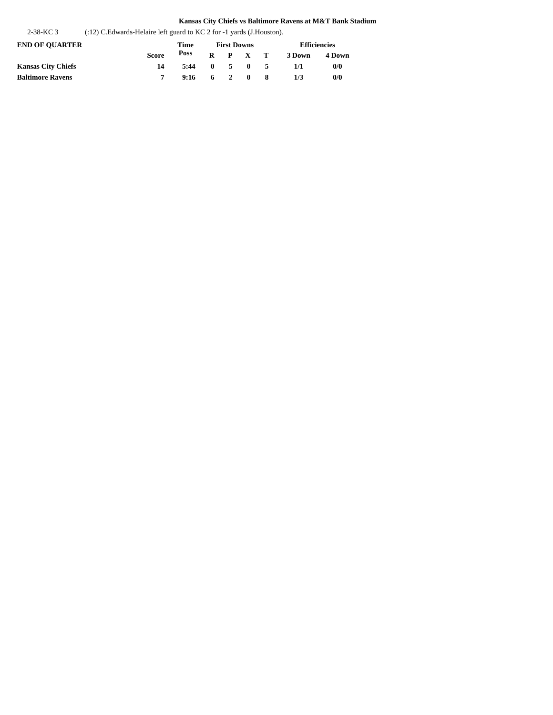2-38-KC 3 (:12) C.Edwards-Helaire left guard to KC 2 for -1 yards (J.Houston).

|              | Time | <b>First Downs</b> |  |  |  | <b>Efficiencies</b>                                             |        |  |
|--------------|------|--------------------|--|--|--|-----------------------------------------------------------------|--------|--|
| <b>Score</b> | Poss |                    |  |  |  | 3 Down                                                          | 4 Down |  |
| 14           | 5:44 |                    |  |  |  | 1/1                                                             | 0/0    |  |
|              |      |                    |  |  |  | 1/3                                                             | 0/0    |  |
|              |      |                    |  |  |  | $R$ $P$ $X$ $T$<br>$0 \t 5 \t 0 \t 5$<br>$9:16 \t6 \t2 \t0 \t8$ |        |  |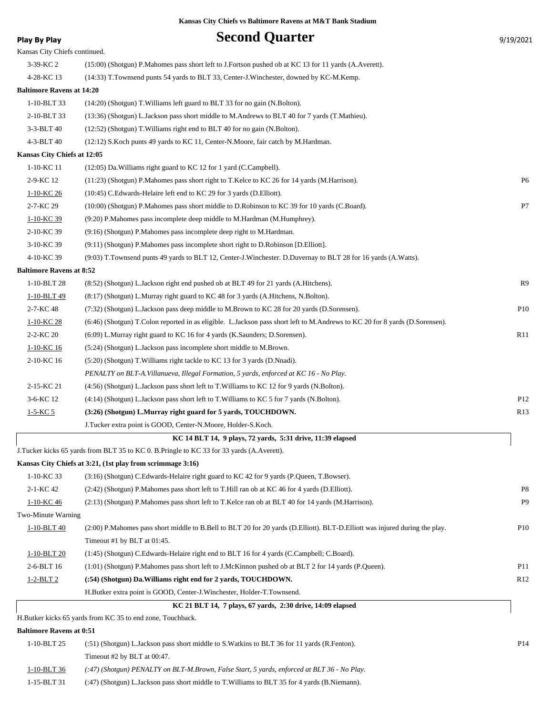| <b>Play By Play</b>              | <b>Second Quarter</b>                                                                                                                                      | 9/19/2021            |
|----------------------------------|------------------------------------------------------------------------------------------------------------------------------------------------------------|----------------------|
| Kansas City Chiefs continued.    |                                                                                                                                                            |                      |
| 3-39-KC 2                        | (15:00) (Shotgun) P.Mahomes pass short left to J.Fortson pushed ob at KC 13 for 11 yards (A.Averett).                                                      |                      |
| 4-28-KC 13                       | (14:33) T. Townsend punts 54 yards to BLT 33, Center-J. Winchester, downed by KC-M. Kemp.                                                                  |                      |
| <b>Baltimore Ravens at 14:20</b> |                                                                                                                                                            |                      |
| 1-10-BLT 33                      | (14:20) (Shotgun) T. Williams left guard to BLT 33 for no gain (N. Bolton).                                                                                |                      |
| 2-10-BLT 33                      | (13:36) (Shotgun) L.Jackson pass short middle to M.Andrews to BLT 40 for 7 yards (T.Mathieu).                                                              |                      |
| 3-3-BLT 40                       | (12:52) (Shotgun) T. Williams right end to BLT 40 for no gain (N. Bolton).                                                                                 |                      |
| 4-3-BLT 40                       | (12:12) S.Koch punts 49 yards to KC 11, Center-N.Moore, fair catch by M.Hardman.                                                                           |                      |
| Kansas City Chiefs at 12:05      |                                                                                                                                                            |                      |
| 1-10-KC 11                       | $(12:05)$ Da. Williams right guard to KC 12 for 1 yard (C. Campbell).                                                                                      |                      |
| 2-9-KC 12                        | (11:23) (Shotgun) P.Mahomes pass short right to T.Kelce to KC 26 for 14 yards (M.Harrison).                                                                | P <sub>6</sub>       |
| 1-10-KC 26                       | (10:45) C.Edwards-Helaire left end to KC 29 for 3 yards (D.Elliott).                                                                                       |                      |
| 2-7-KC 29                        | (10:00) (Shotgun) P. Mahomes pass short middle to D. Robinson to KC 39 for 10 yards (C. Board).                                                            | P7                   |
| 1-10-KC 39                       | (9:20) P.Mahomes pass incomplete deep middle to M.Hardman (M.Humphrey).                                                                                    |                      |
| 2-10-KC 39                       | (9:16) (Shotgun) P.Mahomes pass incomplete deep right to M.Hardman.                                                                                        |                      |
| 3-10-KC 39                       | (9:11) (Shotgun) P.Mahomes pass incomplete short right to D.Robinson [D.Elliott].                                                                          |                      |
| 4-10-KC 39                       | (9:03) T.Townsend punts 49 yards to BLT 12, Center-J.Winchester. D.Duvernay to BLT 28 for 16 yards (A.Watts).                                              |                      |
| <b>Baltimore Ravens at 8:52</b>  |                                                                                                                                                            |                      |
| 1-10-BLT 28                      | (8:52) (Shotgun) L.Jackson right end pushed ob at BLT 49 for 21 yards (A.Hitchens).                                                                        | R9                   |
| 1-10-BLT 49                      | (8:17) (Shotgun) L.Murray right guard to KC 48 for 3 yards (A.Hitchens, N.Bolton).                                                                         |                      |
| 2-7-KC 48                        | (7:32) (Shotgun) L.Jackson pass deep middle to M.Brown to KC 28 for 20 yards (D.Sorensen).                                                                 | P <sub>10</sub>      |
| 1-10-KC 28                       | (6:46) (Shotgun) T.Colon reported in as eligible. L.Jackson pass short left to M.Andrews to KC 20 for 8 yards (D.Sorensen).                                |                      |
| 2-2-KC 20                        | $(6.09)$ L.Murray right guard to KC 16 for 4 yards (K.Saunders; D.Sorensen).                                                                               | R11                  |
| 1-10-KC 16                       | (5:24) (Shotgun) L.Jackson pass incomplete short middle to M.Brown.                                                                                        |                      |
| 2-10-KC 16                       | (5:20) (Shotgun) T. Williams right tackle to KC 13 for 3 yards (D. Nnadi).                                                                                 |                      |
|                                  | PENALTY on BLT-A. Villanueva, Illegal Formation, 5 yards, enforced at KC 16 - No Play.                                                                     |                      |
| 2-15-KC 21                       | (4:56) (Shotgun) L.Jackson pass short left to T.Williams to KC 12 for 9 yards (N.Bolton).                                                                  |                      |
| 3-6-KC 12                        | (4:14) (Shotgun) L. Jackson pass short left to T. Williams to KC 5 for 7 yards (N. Bolton).                                                                | P <sub>12</sub>      |
| $1 - 5 - KC 5$                   | (3:26) (Shotgun) L.Murray right guard for 5 yards, TOUCHDOWN.                                                                                              | R <sub>13</sub>      |
|                                  | J.Tucker extra point is GOOD, Center-N.Moore, Holder-S.Koch.                                                                                               |                      |
|                                  | KC 14 BLT 14, 9 plays, 72 yards, 5:31 drive, 11:39 elapsed                                                                                                 |                      |
|                                  | J.Tucker kicks 65 yards from BLT 35 to KC 0. B.Pringle to KC 33 for 33 yards (A.Averett).                                                                  |                      |
|                                  | Kansas City Chiefs at 3:21, (1st play from scrimmage 3:16)                                                                                                 |                      |
| 1-10-KC 33                       | (3:16) (Shotgun) C.Edwards-Helaire right guard to KC 42 for 9 yards (P.Queen, T.Bowser).                                                                   |                      |
| 2-1-KC 42                        | (2:42) (Shotgun) P. Mahomes pass short left to T. Hill ran ob at KC 46 for 4 yards (D. Elliott).                                                           | P8<br>P <sub>9</sub> |
| 1-10-KC 46<br>Two-Minute Warning | (2:13) (Shotgun) P.Mahomes pass short left to T.Kelce ran ob at BLT 40 for 14 yards (M.Harrison).                                                          |                      |
|                                  |                                                                                                                                                            | P <sub>10</sub>      |
| $1-10-BLT40$                     | (2:00) P.Mahomes pass short middle to B.Bell to BLT 20 for 20 yards (D.Elliott). BLT-D.Elliott was injured during the play.<br>Timeout #1 by BLT at 01:45. |                      |
| 1-10-BLT 20                      | (1:45) (Shotgun) C.Edwards-Helaire right end to BLT 16 for 4 yards (C.Campbell; C.Board).                                                                  |                      |
| 2-6-BLT 16                       | (1:01) (Shotgun) P.Mahomes pass short left to J.McKinnon pushed ob at BLT 2 for 14 yards (P.Queen).                                                        | P <sub>11</sub>      |
| 1-2-BLT 2                        | (:54) (Shotgun) Da. Williams right end for 2 yards, TOUCHDOWN.                                                                                             | R <sub>12</sub>      |
|                                  | H.Butker extra point is GOOD, Center-J.Winchester, Holder-T.Townsend.                                                                                      |                      |
|                                  | KC 21 BLT 14, 7 plays, 67 yards, 2:30 drive, 14:09 elapsed                                                                                                 |                      |
|                                  | H.Butker kicks 65 yards from KC 35 to end zone, Touchback.                                                                                                 |                      |
| <b>Baltimore Ravens at 0:51</b>  |                                                                                                                                                            |                      |

| 1-10-BLT 25 | $(51)$ (Shotgun) L.Jackson pass short middle to S.Watkins to BLT 36 for 11 yards (R.Fenton). | P14 |
|-------------|----------------------------------------------------------------------------------------------|-----|
|             | Timeout #2 by BLT at $00:47$ .                                                               |     |
| 1-10-BLT 36 | (:47) (Shotgun) PENALTY on BLT-M.Brown, False Start, 5 yards, enforced at BLT 36 - No Play.  |     |

1-15-BLT 31 (:47) (Shotgun) L.Jackson pass short middle to T.Williams to BLT 35 for 4 yards (B.Niemann).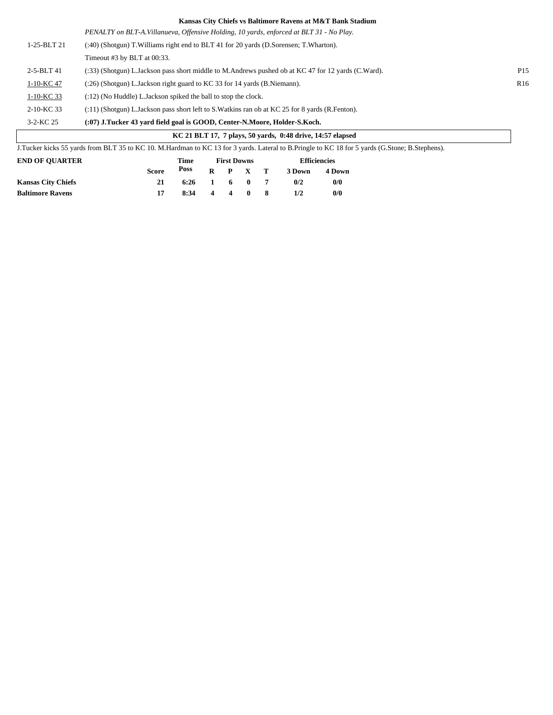| KC 21 BLT 17, 7 plays, 50 vards, 0:48 drive, 14:57 elapsed |                                                                                                    |                 |  |  |  |  |
|------------------------------------------------------------|----------------------------------------------------------------------------------------------------|-----------------|--|--|--|--|
| $3 - 2 - KC 25$                                            | (:07) J.Tucker 43 yard field goal is GOOD, Center-N.Moore, Holder-S.Koch.                          |                 |  |  |  |  |
| 2-10-KC 33                                                 | $(11)$ (Shotgun) L.Jackson pass short left to S.Watkins ran ob at KC 25 for 8 yards (R.Fenton).    |                 |  |  |  |  |
| $1-10-KC$ 33                                               | (:12) (No Huddle) L. Jackson spiked the ball to stop the clock.                                    |                 |  |  |  |  |
| 1-10-KC 47                                                 | (:26) (Shotgun) L.Jackson right guard to KC 33 for 14 yards (B.Niemann).                           | R <sub>16</sub> |  |  |  |  |
| $2 - 5 - BLT 41$                                           | (:33) (Shotgun) L.Jackson pass short middle to M.Andrews pushed ob at KC 47 for 12 yards (C.Ward). | P <sub>15</sub> |  |  |  |  |
|                                                            | Timeout $#3$ by BLT at $00:33$ .                                                                   |                 |  |  |  |  |
| $1-25-BLT21$                                               | (:40) (Shotgun) T. Williams right end to BLT 41 for 20 yards (D. Sorensen; T. Wharton).            |                 |  |  |  |  |
|                                                            | PENALTY on BLT-A. Villanueva, Offensive Holding, 10 yards, enforced at BLT 31 - No Play.           |                 |  |  |  |  |

| J.Tucker kicks 55 yards from BLT 35 to KC 10. M.Hardman to KC 13 for 3 yards. Lateral to B.Pringle to KC 18 for 5 yards (G.Stone; B.Stephens). |              |      |                    |   |                 |  |                     |        |  |
|------------------------------------------------------------------------------------------------------------------------------------------------|--------------|------|--------------------|---|-----------------|--|---------------------|--------|--|
| <b>END OF OUARTER</b>                                                                                                                          |              | Time | <b>First Downs</b> |   |                 |  | <b>Efficiencies</b> |        |  |
|                                                                                                                                                | <b>Score</b> | Poss |                    |   | $R$ $P$ $X$ $T$ |  | 3 Down              | 4 Down |  |
| <b>Kansas City Chiefs</b>                                                                                                                      | 21           | 6:26 | 1 6 0 7            |   |                 |  | 0/2                 | 0/0    |  |
| <b>Baltimore Ravens</b>                                                                                                                        |              | 8:34 | 4                  | 4 |                 |  | 1/2                 | 0/0    |  |

 $\sqrt{2}$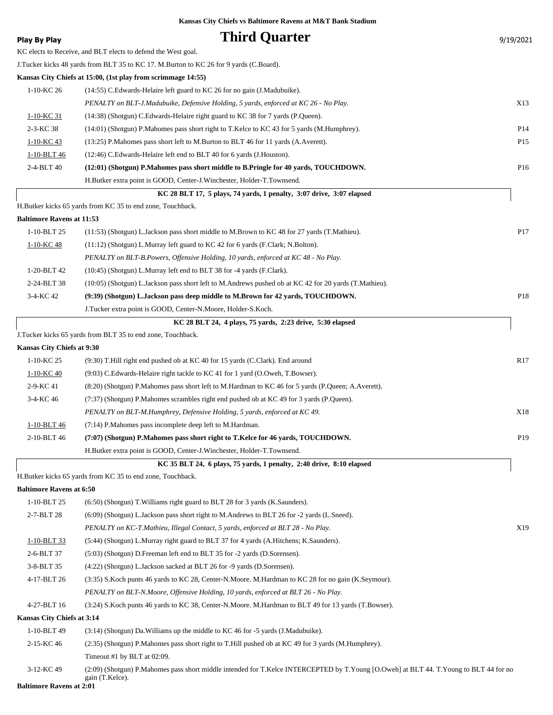| <b>Play By Play</b>              | <b>Third Quarter</b>                                                                                                                                     | 9/19/2021       |
|----------------------------------|----------------------------------------------------------------------------------------------------------------------------------------------------------|-----------------|
|                                  | KC elects to Receive, and BLT elects to defend the West goal.                                                                                            |                 |
|                                  | J.Tucker kicks 48 yards from BLT 35 to KC 17. M.Burton to KC 26 for 9 yards (C.Board).                                                                   |                 |
|                                  | Kansas City Chiefs at 15:00, (1st play from scrimmage 14:55)                                                                                             |                 |
| 1-10-KC 26                       | (14:55) C. Edwards-Helaire left guard to KC 26 for no gain (J. Madubuike).                                                                               |                 |
|                                  | PENALTY on BLT-J.Madubuike, Defensive Holding, 5 yards, enforced at KC 26 - No Play.                                                                     | X13             |
| 1-10-KC 31                       | (14:38) (Shotgun) C.Edwards-Helaire right guard to KC 38 for 7 yards (P.Queen).                                                                          |                 |
| 2-3-KC 38                        | (14:01) (Shotgun) P.Mahomes pass short right to T.Kelce to KC 43 for 5 yards (M.Humphrey).                                                               | P <sub>14</sub> |
| 1-10-KC 43                       | (13:25) P.Mahomes pass short left to M.Burton to BLT 46 for 11 yards (A.Averett).                                                                        | P <sub>15</sub> |
| 1-10-BLT 46                      | (12:46) C. Edwards-Helaire left end to BLT 40 for 6 yards (J. Houston).                                                                                  |                 |
| 2-4-BLT 40                       | (12:01) (Shotgun) P.Mahomes pass short middle to B.Pringle for 40 yards, TOUCHDOWN.                                                                      | P16             |
|                                  | H.Butker extra point is GOOD, Center-J.Winchester, Holder-T.Townsend.                                                                                    |                 |
|                                  | KC 28 BLT 17, 5 plays, 74 yards, 1 penalty, 3:07 drive, 3:07 elapsed                                                                                     |                 |
|                                  | H.Butker kicks 65 yards from KC 35 to end zone, Touchback.                                                                                               |                 |
| <b>Baltimore Ravens at 11:53</b> |                                                                                                                                                          |                 |
| 1-10-BLT 25                      | (11:53) (Shotgun) L.Jackson pass short middle to M.Brown to KC 48 for 27 yards (T.Mathieu).                                                              | P <sub>17</sub> |
| 1-10-KC 48                       | $(11:12)$ (Shotgun) L.Murray left guard to KC 42 for 6 yards (F.Clark; N.Bolton).                                                                        |                 |
|                                  | PENALTY on BLT-B.Powers, Offensive Holding, 10 yards, enforced at KC 48 - No Play.                                                                       |                 |
| 1-20-BLT 42                      | (10:45) (Shotgun) L.Murray left end to BLT 38 for -4 yards (F.Clark).                                                                                    |                 |
| 2-24-BLT 38                      | (10:05) (Shotgun) L.Jackson pass short left to M.Andrews pushed ob at KC 42 for 20 yards (T.Mathieu).                                                    |                 |
| 3-4-KC 42                        | (9:39) (Shotgun) L.Jackson pass deep middle to M.Brown for 42 yards, TOUCHDOWN.                                                                          | P18             |
|                                  | J.Tucker extra point is GOOD, Center-N.Moore, Holder-S.Koch.                                                                                             |                 |
|                                  | KC 28 BLT 24, 4 plays, 75 yards, 2:23 drive, 5:30 elapsed                                                                                                |                 |
|                                  | J.Tucker kicks 65 yards from BLT 35 to end zone, Touchback.                                                                                              |                 |
| Kansas City Chiefs at 9:30       |                                                                                                                                                          |                 |
| 1-10-KC 25                       | (9.30) T. Hill right end pushed ob at KC 40 for 15 yards (C.Clark). End around                                                                           | R <sub>17</sub> |
| 1-10-KC 40                       | (9:03) C.Edwards-Helaire right tackle to KC 41 for 1 yard (O.Oweh, T.Bowser).                                                                            |                 |
| 2-9-KC 41                        | (8:20) (Shotgun) P.Mahomes pass short left to M.Hardman to KC 46 for 5 yards (P.Queen; A.Averett).                                                       |                 |
| 3-4-KC 46                        | (7:37) (Shotgun) P.Mahomes scrambles right end pushed ob at KC 49 for 3 yards (P.Queen).                                                                 |                 |
|                                  | PENALTY on BLT-M.Humphrey, Defensive Holding, 5 yards, enforced at KC 49.                                                                                | X18             |
| 1-10-BLT 46                      | (7:14) P.Mahomes pass incomplete deep left to M.Hardman.                                                                                                 |                 |
| 2-10-BLT 46                      | (7:07) (Shotgun) P.Mahomes pass short right to T.Kelce for 46 yards, TOUCHDOWN.                                                                          | P <sub>19</sub> |
|                                  | H.Butker extra point is GOOD, Center-J.Winchester, Holder-T.Townsend.                                                                                    |                 |
|                                  | KC 35 BLT 24, 6 plays, 75 yards, 1 penalty, 2:40 drive, 8:10 elapsed                                                                                     |                 |
|                                  | H.Butker kicks 65 yards from KC 35 to end zone, Touchback.                                                                                               |                 |
| <b>Baltimore Ravens at 6:50</b>  |                                                                                                                                                          |                 |
| 1-10-BLT 25                      | (6.50) (Shotgun) T. Williams right guard to BLT 28 for 3 yards (K. Saunders).                                                                            |                 |
| 2-7-BLT 28                       | (6:09) (Shotgun) L.Jackson pass short right to M.Andrews to BLT 26 for -2 yards (L.Sneed).                                                               |                 |
|                                  | PENALTY on KC-T.Mathieu, Illegal Contact, 5 yards, enforced at BLT 28 - No Play.                                                                         | X19             |
| 1-10-BLT 33                      | (5:44) (Shotgun) L.Murray right guard to BLT 37 for 4 yards (A.Hitchens; K.Saunders).                                                                    |                 |
| 2-6-BLT 37                       | (5:03) (Shotgun) D. Freeman left end to BLT 35 for -2 yards (D. Sorensen).                                                                               |                 |
| 3-8-BLT 35                       | (4:22) (Shotgun) L.Jackson sacked at BLT 26 for -9 yards (D.Sorensen).                                                                                   |                 |
| 4-17-BLT 26                      | (3:35) S.Koch punts 46 yards to KC 28, Center-N.Moore. M.Hardman to KC 28 for no gain (K.Seymour).                                                       |                 |
|                                  | PENALTY on BLT-N.Moore, Offensive Holding, 10 yards, enforced at BLT 26 - No Play.                                                                       |                 |
| 4-27-BLT 16                      | (3:24) S.Koch punts 46 yards to KC 38, Center-N.Moore. M.Hardman to BLT 49 for 13 yards (T.Bowser).                                                      |                 |
| Kansas City Chiefs at 3:14       |                                                                                                                                                          |                 |
| 1-10-BLT 49                      | $(3:14)$ (Shotgun) Da. Williams up the middle to KC 46 for -5 yards (J. Madubuike).                                                                      |                 |
| 2-15-KC 46                       | (2:35) (Shotgun) P.Mahomes pass short right to T.Hill pushed ob at KC 49 for 3 yards (M.Humphrey).                                                       |                 |
|                                  | Timeout #1 by BLT at 02:09.                                                                                                                              |                 |
| 3-12-KC 49                       | (2:09) (Shotgun) P.Mahomes pass short middle intended for T.Kelce INTERCEPTED by T.Young [O.Oweh] at BLT 44. T.Young to BLT 44 for no<br>gain (T.Kelce). |                 |

**Baltimore Ravens at 2:01**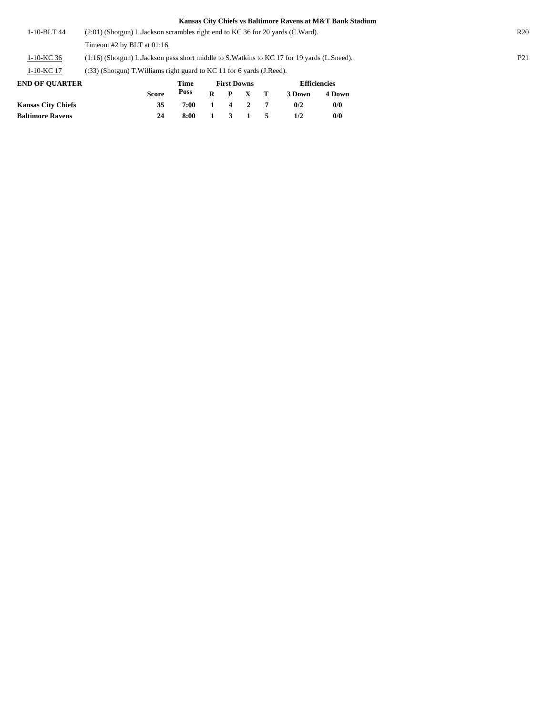| 1-10-BLT 44 | $(2.01)$ (Shotgun) L.Jackson scrambles right end to KC 36 for 20 yards (C.Ward).              | R20             |
|-------------|-----------------------------------------------------------------------------------------------|-----------------|
|             | Timeout #2 by BLT at $01:16$ .                                                                |                 |
| 1-10-KC 36  | (1:16) (Shotgun) L. Jackson pass short middle to S. Watkins to KC 17 for 19 yards (L. Sneed). | P <sub>21</sub> |
| 1-10-KC 17  | (:33) (Shotgun) T. Williams right guard to KC 11 for 6 yards (J. Reed).                       |                 |
|             |                                                                                               |                 |

| <b>END OF OUARTER</b>     |              | Time |                | <b>First Downs</b> |         | <b>Efficiencies</b> |        |  |  |
|---------------------------|--------------|------|----------------|--------------------|---------|---------------------|--------|--|--|
|                           | <b>Score</b> | Poss | $\mathbf{R}$   |                    | P X T   | 3 Down              | 4 Down |  |  |
| <b>Kansas City Chiefs</b> | 35           | 7:00 | $\blacksquare$ |                    | 4 2 7   | 0/2                 | 0/0    |  |  |
| <b>Baltimore Ravens</b>   | 24           | 8:00 |                |                    | 1 3 1 5 | 1/2                 | 0/0    |  |  |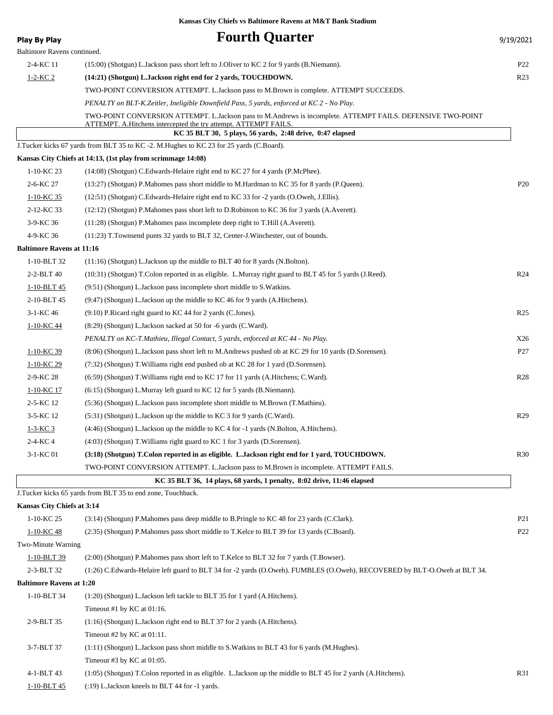| <b>Play By Play</b>              | <b>Fourth Quarter</b>                                                                                                                                                                                                                        | 9/19/2021       |
|----------------------------------|----------------------------------------------------------------------------------------------------------------------------------------------------------------------------------------------------------------------------------------------|-----------------|
| Baltimore Ravens continued.      |                                                                                                                                                                                                                                              |                 |
| 2-4-KC 11                        | (15:00) (Shotgun) L.Jackson pass short left to J.Oliver to KC 2 for 9 yards (B.Niemann).                                                                                                                                                     | P <sub>22</sub> |
| $1-2-KC2$                        | (14:21) (Shotgun) L. Jackson right end for 2 yards, TOUCHDOWN.                                                                                                                                                                               | R <sub>23</sub> |
|                                  | TWO-POINT CONVERSION ATTEMPT. L.Jackson pass to M.Brown is complete. ATTEMPT SUCCEEDS.                                                                                                                                                       |                 |
|                                  | PENALTY on BLT-K.Zeitler, Ineligible Downfield Pass, 5 yards, enforced at KC 2 - No Play.                                                                                                                                                    |                 |
|                                  | TWO-POINT CONVERSION ATTEMPT. L.Jackson pass to M.Andrews is incomplete. ATTEMPT FAILS. DEFENSIVE TWO-POINT<br>ATTEMPT. A. Hitchens intercepted the try attempt. ATTEMPT FAILS.<br>KC 35 BLT 30, 5 plays, 56 yards, 2:48 drive, 0:47 elapsed |                 |
|                                  | J.Tucker kicks 67 yards from BLT 35 to KC -2. M.Hughes to KC 23 for 25 yards (C.Board).                                                                                                                                                      |                 |
|                                  | Kansas City Chiefs at 14:13, (1st play from scrimmage 14:08)                                                                                                                                                                                 |                 |
| 1-10-KC 23                       | (14:08) (Shotgun) C. Edwards-Helaire right end to KC 27 for 4 yards (P. McPhee).                                                                                                                                                             |                 |
| 2-6-KC 27                        | (13:27) (Shotgun) P. Mahomes pass short middle to M. Hardman to KC 35 for 8 yards (P. Queen).                                                                                                                                                | P <sub>20</sub> |
| 1-10-KC 35                       | (12:51) (Shotgun) C. Edwards-Helaire right end to KC 33 for -2 yards (O. Oweh, J. Ellis).                                                                                                                                                    |                 |
| 2-12-KC 33                       | (12:12) (Shotgun) P.Mahomes pass short left to D.Robinson to KC 36 for 3 yards (A.Averett).                                                                                                                                                  |                 |
| 3-9-KC 36                        | (11:28) (Shotgun) P. Mahomes pass incomplete deep right to T. Hill (A. Averett).                                                                                                                                                             |                 |
| 4-9-KC 36                        | (11:23) T.Townsend punts 32 yards to BLT 32, Center-J.Winchester, out of bounds.                                                                                                                                                             |                 |
| <b>Baltimore Ravens at 11:16</b> |                                                                                                                                                                                                                                              |                 |
| 1-10-BLT 32                      | $(11:16)$ (Shotgun) L. Jackson up the middle to BLT 40 for 8 yards (N. Bolton).                                                                                                                                                              |                 |
| 2-2-BLT 40                       | (10:31) (Shotgun) T.Colon reported in as eligible. L.Murray right guard to BLT 45 for 5 yards (J.Reed).                                                                                                                                      | R <sub>24</sub> |
| 1-10-BLT 45                      | (9:51) (Shotgun) L.Jackson pass incomplete short middle to S.Watkins.                                                                                                                                                                        |                 |
| 2-10-BLT 45                      | $(9.47)$ (Shotgun) L.Jackson up the middle to KC 46 for 9 yards (A.Hitchens).                                                                                                                                                                |                 |
| 3-1-KC 46                        | $(9:10)$ P.Ricard right guard to KC 44 for 2 yards (C.Jones).                                                                                                                                                                                | R <sub>25</sub> |
| 1-10-KC 44                       | (8:29) (Shotgun) L.Jackson sacked at 50 for -6 yards (C.Ward).                                                                                                                                                                               |                 |
|                                  | PENALTY on KC-T.Mathieu, Illegal Contact, 5 yards, enforced at KC 44 - No Play.                                                                                                                                                              | X26             |
| 1-10-KC 39                       | (8:06) (Shotgun) L.Jackson pass short left to M.Andrews pushed ob at KC 29 for 10 yards (D.Sorensen).                                                                                                                                        | P27             |
| 1-10-KC 29                       | (7:32) (Shotgun) T. Williams right end pushed ob at KC 28 for 1 yard (D. Sorensen).                                                                                                                                                          |                 |
| 2-9-KC 28                        | (6.59) (Shotgun) T. Williams right end to KC 17 for 11 yards (A. Hitchens; C. Ward).                                                                                                                                                         | R <sub>28</sub> |
| 1-10-KC 17                       | $(6:15)$ (Shotgun) L.Murray left guard to KC 12 for 5 yards (B.Niemann).                                                                                                                                                                     |                 |
| 2-5-KC 12                        | (5:36) (Shotgun) L.Jackson pass incomplete short middle to M.Brown (T.Mathieu).                                                                                                                                                              |                 |
| 3-5-KC 12                        | (5:31) (Shotgun) L. Jackson up the middle to KC 3 for 9 yards (C. Ward).                                                                                                                                                                     | R29             |
| $1 - 3 - KC$ 3                   | (4:46) (Shotgun) L.Jackson up the middle to KC 4 for -1 yards (N.Bolton, A.Hitchens).                                                                                                                                                        |                 |
| 2-4-KC 4                         | (4:03) (Shotgun) T. Williams right guard to KC 1 for 3 yards (D. Sorensen).                                                                                                                                                                  |                 |
| 3-1-KC 01                        | (3:18) (Shotgun) T.Colon reported in as eligible. L.Jackson right end for 1 yard, TOUCHDOWN.                                                                                                                                                 | R <sub>30</sub> |
|                                  | TWO-POINT CONVERSION ATTEMPT. L.Jackson pass to M.Brown is incomplete. ATTEMPT FAILS.                                                                                                                                                        |                 |
|                                  | KC 35 BLT 36, 14 plays, 68 yards, 1 penalty, 8:02 drive, 11:46 elapsed                                                                                                                                                                       |                 |
|                                  | J.Tucker kicks 65 yards from BLT 35 to end zone, Touchback.                                                                                                                                                                                  |                 |
| Kansas City Chiefs at 3:14       |                                                                                                                                                                                                                                              |                 |
| 1-10-KC 25                       | (3:14) (Shotgun) P.Mahomes pass deep middle to B.Pringle to KC 48 for 23 yards (C.Clark).                                                                                                                                                    | P <sub>21</sub> |
| $1-10-KC$ 48                     | (2:35) (Shotgun) P.Mahomes pass short middle to T.Kelce to BLT 39 for 13 yards (C.Board).                                                                                                                                                    | P <sub>22</sub> |
| Two-Minute Warning               |                                                                                                                                                                                                                                              |                 |
| $1-10-BLT$ 39                    | (2:00) (Shotgun) P.Mahomes pass short left to T.Kelce to BLT 32 for 7 yards (T.Bowser).                                                                                                                                                      |                 |
| 2-3-BLT 32                       | (1:26) C.Edwards-Helaire left guard to BLT 34 for -2 yards (O.Oweh). FUMBLES (O.Oweh), RECOVERED by BLT-O.Oweh at BLT 34.                                                                                                                    |                 |
| <b>Baltimore Ravens at 1:20</b>  |                                                                                                                                                                                                                                              |                 |
| 1-10-BLT 34                      | (1:20) (Shotgun) L.Jackson left tackle to BLT 35 for 1 yard (A.Hitchens).                                                                                                                                                                    |                 |
|                                  | Timeout #1 by KC at 01:16.                                                                                                                                                                                                                   |                 |
| 2-9-BLT 35                       | (1:16) (Shotgun) L.Jackson right end to BLT 37 for 2 yards (A.Hitchens).                                                                                                                                                                     |                 |
|                                  | Timeout #2 by KC at 01:11.                                                                                                                                                                                                                   |                 |
| 3-7-BLT 37                       | $(1:11)$ (Shotgun) L.Jackson pass short middle to S.Watkins to BLT 43 for 6 yards (M.Hughes).                                                                                                                                                |                 |
|                                  | Timeout #3 by KC at 01:05.                                                                                                                                                                                                                   |                 |
| 4-1-BLT 43                       | (1:05) (Shotgun) T.Colon reported in as eligible. L.Jackson up the middle to BLT 45 for 2 yards (A.Hitchens).                                                                                                                                | R31             |

1-10-BLT 45 (:19) L.Jackson kneels to BLT 44 for -1 yards.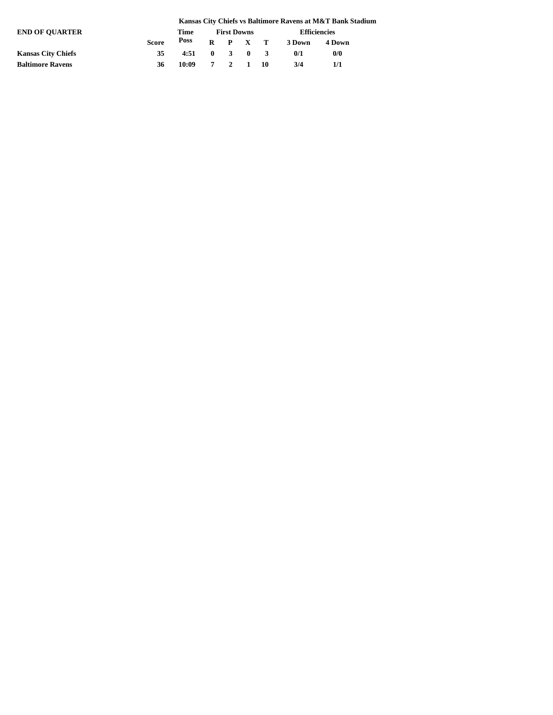|                           |              |       |                    |  |                 |  |                     | Kansas City Chiefs vs Baltimore Ravens at M&T Bank Stadium |  |  |
|---------------------------|--------------|-------|--------------------|--|-----------------|--|---------------------|------------------------------------------------------------|--|--|
| <b>END OF OUARTER</b>     |              | Time  | <b>First Downs</b> |  |                 |  | <b>Efficiencies</b> |                                                            |  |  |
|                           | <b>Score</b> | Poss  |                    |  | $R$ $P$ $X$ $T$ |  | 3 Down              | 4 Down                                                     |  |  |
| <b>Kansas City Chiefs</b> | 35           | 4:51  | $\mathbf{0}$       |  | $3 \t 0$        |  | 0/1                 | 0/0                                                        |  |  |
| <b>Baltimore Ravens</b>   | 36           | 10:09 |                    |  | 7 2 1 10        |  | 3/4                 | 1/1                                                        |  |  |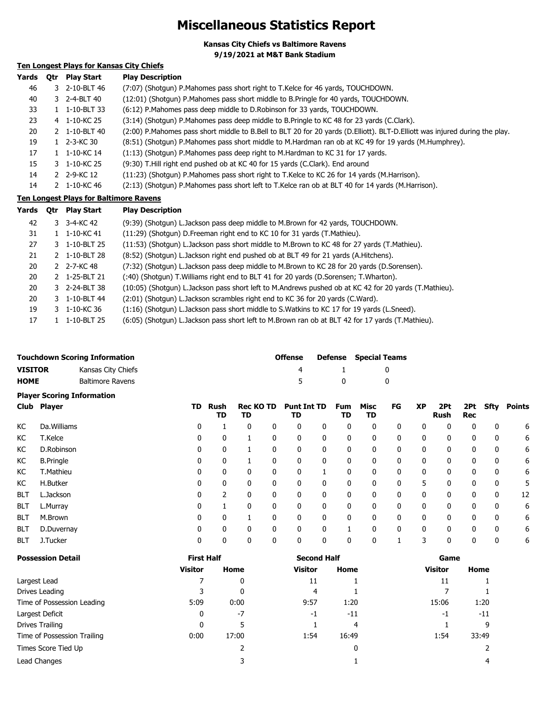# **Miscellaneous Statistics Report**

**Kansas City Chiefs vs Baltimore Ravens 9/19/2021 at M&T Bank Stadium**

### **Ten Longest Plays for Kansas City Chiefs**

| Yards | 0tr | <b>Play Start</b> | <b>Play Description</b>                                                                                                     |
|-------|-----|-------------------|-----------------------------------------------------------------------------------------------------------------------------|
| 46    |     | 3 2-10-BLT 46     | (7:07) (Shotgun) P. Mahomes pass short right to T. Kelce for 46 yards, TOUCHDOWN.                                           |
| 40    |     | 3 2-4-BLT 40      | (12:01) (Shotgun) P.Mahomes pass short middle to B.Pringle for 40 yards, TOUCHDOWN.                                         |
| 33    |     | 1-10-BLT 33       | (6:12) P.Mahomes pass deep middle to D.Robinson for 33 yards, TOUCHDOWN.                                                    |
| 23    |     | 4 1-10-KC 25      | (3:14) (Shotqun) P. Mahomes pass deep middle to B. Pringle to KC 48 for 23 yards (C. Clark).                                |
| 20    |     | 2 1-10-BLT 40     | (2:00) P.Mahomes pass short middle to B.Bell to BLT 20 for 20 yards (D.Elliott). BLT-D.Elliott was injured during the play. |
| 19    |     | 1 2-3-KC 30       | (8:51) (Shotqun) P.Mahomes pass short middle to M.Hardman ran ob at KC 49 for 19 yards (M.Humphrey).                        |
| 17    |     | 1-10-KC 14        | (1:13) (Shotgun) P.Mahomes pass deep right to M.Hardman to KC 31 for 17 yards.                                              |
| 15    |     | 3 1-10-KC 25      | (9:30) T. Hill right end pushed ob at KC 40 for 15 yards (C. Clark). End around                                             |
| 14    |     | 2 2-9-KC 12       | (11:23) (Shotgun) P.Mahomes pass short right to T.Kelce to KC 26 for 14 yards (M.Harrison).                                 |
| 14    |     | 2 1-10-KC 46      | (2:13) (Shotgun) P.Mahomes pass short left to T.Kelce ran ob at BLT 40 for 14 yards (M.Harrison).                           |

### **Ten Longest Plays for Baltimore Ravens**

| Yards | 0tr | Play Start    | <b>Play Description</b>                                                                               |
|-------|-----|---------------|-------------------------------------------------------------------------------------------------------|
| 42    |     | 3 3-4-KC 42   | (9:39) (Shotgun) L.Jackson pass deep middle to M.Brown for 42 yards, TOUCHDOWN.                       |
| 31    |     | 1 1-10-KC 41  | (11:29) (Shotgun) D. Freeman right end to KC 10 for 31 yards (T. Mathieu).                            |
| 27    |     | 3 1-10-BLT 25 | (11:53) (Shotqun) L.Jackson pass short middle to M.Brown to KC 48 for 27 yards (T.Mathieu).           |
| 21    |     | 2 1-10-BLT 28 | (8:52) (Shotgun) L.Jackson right end pushed ob at BLT 49 for 21 yards (A.Hitchens).                   |
| 20    |     | 2 2-7-KC 48   | (7:32) (Shotgun) L.Jackson pass deep middle to M.Brown to KC 28 for 20 yards (D.Sorensen).            |
| 20    |     | 2 1-25-BLT 21 | (:40) (Shotqun) T. Williams right end to BLT 41 for 20 yards (D. Sorensen; T. Wharton).               |
| 20    |     | 3 2-24-BLT 38 | (10:05) (Shotgun) L.Jackson pass short left to M.Andrews pushed ob at KC 42 for 20 yards (T.Mathieu). |
| 20    |     | 3 1-10-BLT 44 | (2:01) (Shotgun) L.Jackson scrambles right end to KC 36 for 20 yards (C.Ward).                        |
| 19    |     | 3 1-10-KC 36  | (1:16) (Shotgun) L.Jackson pass short middle to S.Watkins to KC 17 for 19 yards (L.Sneed).            |
| 17    |     | 1-10-BLT 25   | (6:05) (Shotgun) L.Jackson pass short left to M.Brown ran ob at BLT 42 for 17 yards (T.Mathieu).      |

|                                        | <b>Touchdown Scoring Information</b> |        |        |                  |        | <b>Offense</b>     |        | <b>Defense</b> | <b>Special Teams</b> |        |           |          |        |          |        |
|----------------------------------------|--------------------------------------|--------|--------|------------------|--------|--------------------|--------|----------------|----------------------|--------|-----------|----------|--------|----------|--------|
| <b>VISITOR</b>                         | Kansas City Chiefs                   |        |        |                  |        |                    |        |                |                      |        |           |          |        |          |        |
| <b>HOME</b><br><b>Baltimore Ravens</b> |                                      |        |        |                  |        |                    |        | 0              |                      | 0      |           |          |        |          |        |
|                                        | <b>Player Scoring Information</b>    |        |        |                  |        |                    |        |                |                      |        |           |          |        |          |        |
|                                        | Club Player                          | TD.    | Rush   | <b>Rec KO TD</b> |        | <b>Punt Int TD</b> |        | Fum            | Misc                 | FG     | <b>XP</b> | 2Pt      |        | 2Pt Sfty | Points |
|                                        |                                      |        | TD     | TD               |        | TD                 |        | TD             | TD                   |        |           | Rush     | Rec    |          |        |
| КC                                     | Da. Williams                         | 0      |        |                  |        |                    |        | 0              | 0                    | 0      | 0         |          |        |          | 6      |
| $\overline{v}$                         | $T$ $V$ oloo                         | $\sim$ | $\sim$ |                  | $\sim$ | $\sim$             | $\sim$ | $\sim$         | $\sim$ 0             | $\sim$ | $\sim$    | $\sim$ 0 | $\sim$ | $\sim$   |        |

| КC         | T.Kelce          | 0 | 0 |   | 0            | 0 | 0 | 0 | 0 | 0 | 0 | 0 | 0 | 6  |
|------------|------------------|---|---|---|--------------|---|---|---|---|---|---|---|---|----|
| КC         | D.Robinson       | 0 | 0 |   | 0            | 0 | 0 | 0 | 0 | 0 | 0 | 0 | 0 | 6  |
| KC         | <b>B.Pringle</b> | 0 | 0 |   | 0            | 0 | 0 | 0 | 0 | 0 | 0 | 0 | 0 | 6  |
| КC         | T.Mathieu        | 0 | 0 |   | 0            |   | 0 | 0 | 0 | 0 | 0 |   | 0 | 6  |
| КC         | H.Butker         | 0 | 0 | 0 | 0            | 0 | 0 | 0 | 0 | 5 |   |   | 0 | 5. |
| <b>BLT</b> | L.Jackson        | 0 |   | 0 | 0            | 0 | 0 | 0 | 0 | 0 | 0 | 0 | 0 | 12 |
| <b>BLT</b> | L.Murray         | 0 |   | 0 | $\mathbf{0}$ | 0 | 0 | 0 | 0 | 0 | 0 | 0 | 0 | 6  |
| <b>BLT</b> | M.Brown          | 0 | 0 |   | 0            | 0 | 0 | 0 | 0 | 0 | 0 | 0 | 0 | 6  |
| <b>BLT</b> | D.Duvernay       | 0 | 0 |   | 0            | 0 |   |   | 0 | 0 | 0 |   | 0 | 6  |
| <b>BLT</b> | J.Tucker         | 0 | 0 |   | 0            | 0 | 0 | 0 |   |   | 0 |   | 0 | 6  |

| <b>Possession Detail</b>    | <b>First Half</b> |       | <b>Second Half</b> |       | Game           |       |  |  |
|-----------------------------|-------------------|-------|--------------------|-------|----------------|-------|--|--|
|                             | <b>Visitor</b>    | Home  | <b>Visitor</b>     | Home  | <b>Visitor</b> | Home  |  |  |
| Largest Lead                |                   | 0     | 11                 |       | 11             |       |  |  |
| Drives Leading              |                   | 0     | 4                  |       |                |       |  |  |
| Time of Possession Leading  | 5:09              | 0:00  | 9:57               | 1:20  | 15:06          | 1:20  |  |  |
| Largest Deficit             | 0                 | $-7$  | -1                 | $-11$ | -1             | $-11$ |  |  |
| Drives Trailing             | $\mathbf{0}$      | 5     |                    | 4     |                | q     |  |  |
| Time of Possession Trailing | 0:00              | 17:00 | 1:54               | 16:49 | 1:54           | 33:49 |  |  |
| Times Score Tied Up         |                   |       |                    | 0     |                |       |  |  |
| Lead Changes                |                   |       |                    |       |                | 4     |  |  |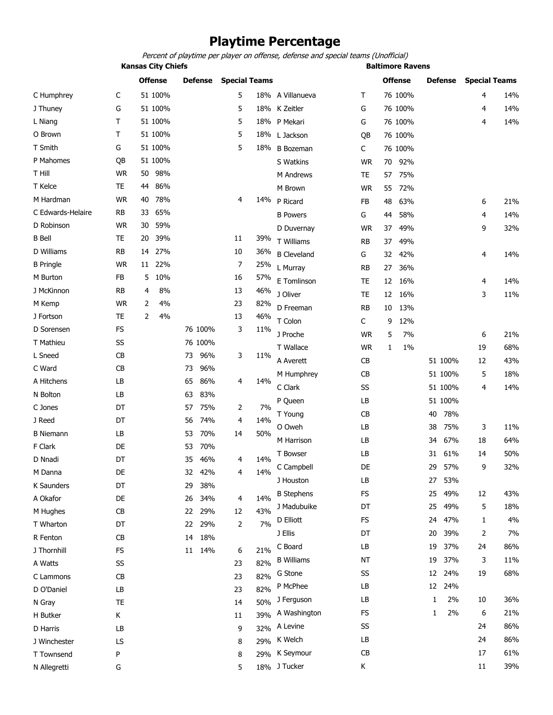# **Playtime Percentage**

Percent of playtime per player on offense, defense and special teams (Unofficial)

**Kansas City Chiefs Baltimore Ravens** 

|                   |           |                | <b>Offense</b> |    | <b>Defense</b> |    | <b>Special Teams</b> |                    |           |    | <b>Offense</b> |                   | <b>Defense</b> |    | <b>Special Teams</b> |
|-------------------|-----------|----------------|----------------|----|----------------|----|----------------------|--------------------|-----------|----|----------------|-------------------|----------------|----|----------------------|
| C Humphrey        | C         |                | 51 100%        |    |                | 5  |                      | 18% A Villanueva   | т         |    | 76 100%        |                   |                | 4  | 14%                  |
| J Thuney          | G         |                | 51 100%        |    |                | 5  |                      | 18% K Zeitler      | G         |    | 76 100%        |                   |                | 4  | 14%                  |
| L Niang           | т         |                | 51 100%        |    |                | 5  |                      | 18% P Mekari       | G         |    | 76 100%        |                   |                | 4  | 14%                  |
| O Brown           | T         |                | 51 100%        |    |                | 5  |                      | 18% L Jackson      | QB        |    | 76 100%        |                   |                |    |                      |
| T Smith           | G         |                | 51 100%        |    |                | 5  | 18%                  | <b>B</b> Bozeman   | C         |    | 76 100%        |                   |                |    |                      |
| P Mahomes         | QB        |                | 51 100%        |    |                |    |                      | S Watkins          | <b>WR</b> | 70 | 92%            |                   |                |    |                      |
| T Hill            | <b>WR</b> | 50             | 98%            |    |                |    |                      | M Andrews          | TE        | 57 | 75%            |                   |                |    |                      |
| T Kelce           | <b>TE</b> | 44             | 86%            |    |                |    |                      | M Brown            | <b>WR</b> | 55 | 72%            |                   |                |    |                      |
| M Hardman         | <b>WR</b> | 40             | 78%            |    |                | 4  | 14%                  | P Ricard           | FB        | 48 | 63%            |                   |                | 6  | 21%                  |
| C Edwards-Helaire | <b>RB</b> | 33             | 65%            |    |                |    |                      | <b>B</b> Powers    | G         | 44 | 58%            |                   |                | 4  | 14%                  |
| D Robinson        | <b>WR</b> | 30             | 59%            |    |                |    |                      | D Duvernay         | <b>WR</b> | 37 | 49%            |                   |                | 9  | 32%                  |
| <b>B</b> Bell     | TE        | 20             | 39%            |    |                | 11 | 39%                  | T Williams         | RB        | 37 | 49%            |                   |                |    |                      |
| D Williams        | <b>RB</b> | 14             | 27%            |    |                | 10 | 36%                  | <b>B</b> Cleveland | G         | 32 | 42%            |                   |                | 4  | 14%                  |
| <b>B</b> Pringle  | <b>WR</b> | 11             | 22%            |    |                | 7  | 25%                  | L Murray           | RB        | 27 | 36%            |                   |                |    |                      |
| M Burton          | FB        | 5              | 10%            |    |                | 16 | 57%                  | E Tomlinson        | TE        | 12 | 16%            |                   |                | 4  | 14%                  |
| J McKinnon        | <b>RB</b> | 4              | 8%             |    |                | 13 | 46%                  | J Oliver           | <b>TE</b> | 12 | 16%            |                   |                | 3  | 11%                  |
| M Kemp            | <b>WR</b> | 2              | 4%             |    |                | 23 | 82%                  | D Freeman          | <b>RB</b> | 10 | 13%            |                   |                |    |                      |
| J Fortson         | <b>TE</b> | $\overline{2}$ | 4%             |    |                | 13 | 46%                  | T Colon            | C         | 9  | 12%            |                   |                |    |                      |
| D Sorensen        | <b>FS</b> |                |                |    | 76 100%        | 3  | 11%                  | J Proche           | <b>WR</b> | 5  | 7%             |                   |                | 6  | 21%                  |
| T Mathieu         | SS        |                |                |    | 76 100%        |    |                      | T Wallace          | <b>WR</b> | 1  | 1%             |                   |                | 19 | 68%                  |
| L Sneed           | CB        |                |                | 73 | 96%            | 3  | 11%                  | A Averett          | CB        |    |                |                   | 51 100%        | 12 | 43%                  |
| C Ward            | CB        |                |                | 73 | 96%            |    |                      |                    |           |    |                |                   | 51 100%        | 5  | 18%                  |
| A Hitchens        | LB        |                |                | 65 | 86%            | 4  | 14%                  | M Humphrey         | CB<br>SS  |    |                |                   | 51 100%        | 4  | 14%                  |
| N Bolton          | LB        |                |                | 63 | 83%            |    |                      | C Clark            | LB        |    |                |                   | 51 100%        |    |                      |
| C Jones           | DT        |                |                | 57 | 75%            | 2  | 7%                   | P Queen            |           |    |                |                   |                |    |                      |
| J Reed            | DT        |                |                | 56 | 74%            | 4  | 14%                  | T Young            | <b>CB</b> |    |                | 40                | 78%            |    |                      |
| <b>B</b> Niemann  | LB        |                |                | 53 | 70%            | 14 | 50%                  | O Oweh             | LB        |    |                | 38                | 75%            | 3  | 11%                  |
| F Clark           | DE        |                |                | 53 | 70%            |    |                      | M Harrison         | LB        |    |                | 34                | 67%            | 18 | 64%                  |
| D Nnadi           | DT        |                |                | 35 | 46%            | 4  | 14%                  | <b>T</b> Bowser    | LВ        |    |                | 31                | 61%            | 14 | 50%                  |
| M Danna           | DE        |                |                | 32 | 42%            | 4  | 14%                  | C Campbell         | DE        |    |                | 29                | 57%            | 9  | 32%                  |
| K Saunders        | DT        |                |                | 29 | 38%            |    |                      | J Houston          | LB        |    |                | 27                | 53%            |    |                      |
| A Okafor          | DE        |                |                | 26 | 34%            | 4  | 14%                  | <b>B</b> Stephens  | FS        |    |                | 25                | 49%            | 12 | 43%                  |
| M Hughes          | CB        |                |                | 22 | 29%            | 12 | 43%                  | J Madubuike        | DT        |    |                | 25                | 49%            | 5  | 18%                  |
| T Wharton         | DT        |                |                | 22 | 29%            | 2  | 7%                   | D Elliott          | FS        |    |                | 24                | 47%            | 1  | 4%                   |
| R Fenton          | CB        |                |                | 14 | 18%            |    |                      | J Ellis            | DT        |    |                | 20                | 39%            | 2  | 7%                   |
| J Thornhill       | FS        |                |                |    | 11 14%         | 6  | 21%                  | C Board            | LB        |    |                | 19                | 37%            | 24 | 86%                  |
| A Watts           | SS        |                |                |    |                | 23 | 82%                  | <b>B</b> Williams  | NT        |    |                | 19                | 37%            | 3  | 11%                  |
| C Lammons         | CB        |                |                |    |                | 23 | 82%                  | G Stone            | SS        |    |                | 12                | 24%            | 19 | 68%                  |
| D O'Daniel        | LB        |                |                |    |                | 23 | 82%                  | P McPhee           | LB        |    |                | $12 \overline{ }$ | 24%            |    |                      |
| N Gray            | <b>TE</b> |                |                |    |                | 14 | 50%                  | J Ferguson         | LB        |    |                | 1                 | 2%             | 10 | 36%                  |
| H Butker          | К         |                |                |    |                | 11 | 39%                  | A Washington       | FS        |    |                | 1                 | 2%             | 6  | 21%                  |
| D Harris          | LB        |                |                |    |                | 9  | 32%                  | A Levine           | SS        |    |                |                   |                | 24 | 86%                  |
| J Winchester      | LS        |                |                |    |                | 8  |                      | 29% K Welch        | LB        |    |                |                   |                | 24 | 86%                  |
| T Townsend        | P         |                |                |    |                | 8  | 29%                  | K Seymour          | CB        |    |                |                   |                | 17 | 61%                  |
| N Allegretti      | G         |                |                |    |                | 5  |                      | 18% J Tucker       | Κ         |    |                |                   |                | 11 | 39%                  |